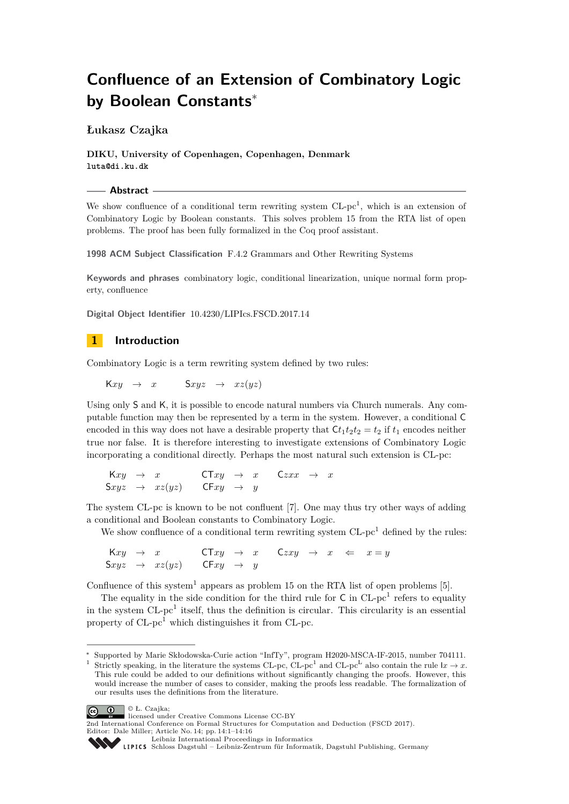# **Confluence of an Extension of Combinatory Logic by Boolean Constants**<sup>∗</sup>

**Łukasz Czajka**

**DIKU, University of Copenhagen, Copenhagen, Denmark luta@di.ku.dk**

**Abstract**

We show confluence of a conditional term rewriting system  $CL$ -pc<sup>1</sup>, which is an extension of Combinatory Logic by Boolean constants. This solves problem 15 from the RTA list of open problems. The proof has been fully formalized in the Coq proof assistant.

**1998 ACM Subject Classification** F.4.2 Grammars and Other Rewriting Systems

**Keywords and phrases** combinatory logic, conditional linearization, unique normal form property, confluence

**Digital Object Identifier** [10.4230/LIPIcs.FSCD.2017.14](http://dx.doi.org/10.4230/LIPIcs.FSCD.2017.14)

## **1 Introduction**

Combinatory Logic is a term rewriting system defined by two rules:

 $Kxy \rightarrow x$   $Sxyz \rightarrow xz(yz)$ 

Using only S and K, it is possible to encode natural numbers via Church numerals. Any computable function may then be represented by a term in the system. However, a conditional C encoded in this way does not have a desirable property that  $Ct_1t_2t_2 = t_2$  if  $t_1$  encodes neither true nor false. It is therefore interesting to investigate extensions of Combinatory Logic incorporating a conditional directly. Perhaps the most natural such extension is CL-pc:

 $Kxy \rightarrow x$  CT*xy*  $\rightarrow x$  C*zxx*  $\rightarrow x$  $Sxyz \rightarrow xz(yz)$  CF $xy \rightarrow y$ 

The system CL-pc is known to be not confluent [\[7\]](#page-15-0). One may thus try other ways of adding a conditional and Boolean constants to Combinatory Logic.

We show confluence of a conditional term rewriting system  $CL$ -pc<sup>1</sup> defined by the rules:

 $Kxy \rightarrow x$  CT*xy*  $\rightarrow x$  C*zxy*  $\rightarrow x \Leftarrow x = y$  $Sxyz \rightarrow xz(yz)$  CF $xy \rightarrow y$ 

Confluence of this system<sup>[1](#page-0-0)</sup> appears as problem 15 on the RTA list of open problems [\[5\]](#page-15-1).

The equality in the side condition for the third rule for  $C$  in  $CL$ -pc<sup>1</sup> refers to equality in the system  $CL$ -pc<sup>1</sup> itself, thus the definition is circular. This circularity is an essential property of  $CL$ -pc<sup>1</sup> which distinguishes it from  $CL$ -pc.

<span id="page-0-0"></span><sup>&</sup>lt;sup>1</sup> Strictly speaking, in the literature the systems CL-pc, CL-pc<sup>1</sup> and CL-pc<sup>L</sup> also contain the rule  $lx \to x$ . This rule could be added to our definitions without significantly changing the proofs. However, this would increase the number of cases to consider, making the proofs less readable. The formalization of our results uses the definitions from the literature.





<sup>2</sup>nd International Conference on Formal Structures for Computation and Deduction (FSCD 2017). Editor: Dale Miller; Article No. 14; pp. 14:1–14[:16](#page-15-2)

<sup>∗</sup> Supported by Marie Skłodowska-Curie action "InfTy", program H2020-MSCA-IF-2015, number 704111.

[Leibniz International Proceedings in Informatics](http://www.dagstuhl.de/lipics/)

[Schloss Dagstuhl – Leibniz-Zentrum für Informatik, Dagstuhl Publishing, Germany](http://www.dagstuhl.de)<br>
1916 Schloss Dagstuhl – Leibniz-Zentrum für Informatik, Dagstuhl Publishing, Germany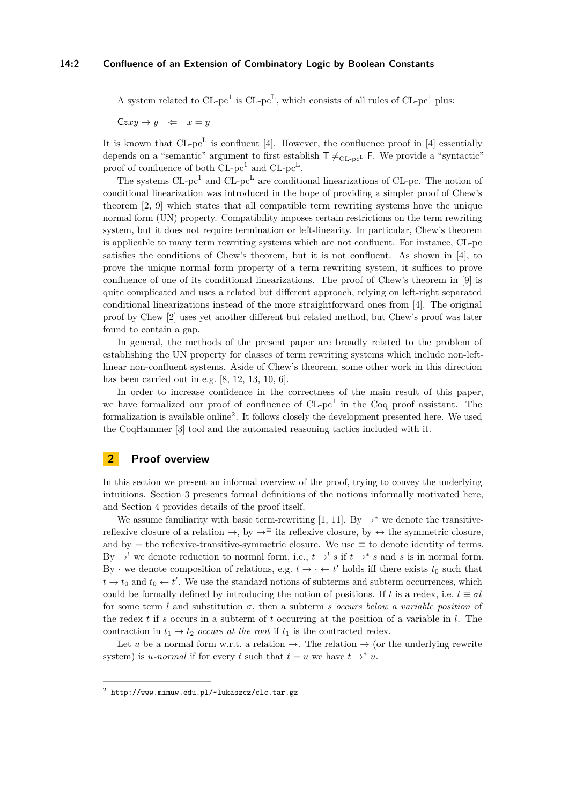A system related to  $CL$ -pc<sup>1</sup> is  $CL$ -pc<sup>L</sup>, which consists of all rules of  $CL$ -pc<sup>1</sup> plus:

 $Czxy \rightarrow y \Leftrightarrow x = y$ 

It is known that  $CL$ -pc<sup>L</sup> is confluent [\[4\]](#page-15-3). However, the confluence proof in [4] essentially depends on a "semantic" argument to first establish  $T \neq_{CL-pc} F$ . We provide a "syntactic" proof of confluence of both  $CL$ -pc<sup>1</sup> and  $CL$ -pc<sup>L</sup>.

The systems  $CL$ -pc<sup>1</sup> and  $CL$ -pc<sup>L</sup> are conditional linearizations of  $CL$ -pc. The notion of conditional linearization was introduced in the hope of providing a simpler proof of Chew's theorem [\[2,](#page-15-4) [9\]](#page-15-5) which states that all compatible term rewriting systems have the unique normal form (UN) property. Compatibility imposes certain restrictions on the term rewriting system, but it does not require termination or left-linearity. In particular, Chew's theorem is applicable to many term rewriting systems which are not confluent. For instance, CL-pc satisfies the conditions of Chew's theorem, but it is not confluent. As shown in [\[4\]](#page-15-3), to prove the unique normal form property of a term rewriting system, it suffices to prove confluence of one of its conditional linearizations. The proof of Chew's theorem in [\[9\]](#page-15-5) is quite complicated and uses a related but different approach, relying on left-right separated conditional linearizations instead of the more straightforward ones from [\[4\]](#page-15-3). The original proof by Chew [\[2\]](#page-15-4) uses yet another different but related method, but Chew's proof was later found to contain a gap.

In general, the methods of the present paper are broadly related to the problem of establishing the UN property for classes of term rewriting systems which include non-leftlinear non-confluent systems. Aside of Chew's theorem, some other work in this direction has been carried out in e.g. [\[8,](#page-15-6) [12,](#page-15-7) [13,](#page-15-8) [10,](#page-15-9) [6\]](#page-15-10).

In order to increase confidence in the correctness of the main result of this paper, we have formalized our proof of confluence of  $CL$ -pc<sup>1</sup> in the Coq proof assistant. The formalization is available online<sup>[2](#page-1-0)</sup>. It follows closely the development presented here. We used the CoqHammer [\[3\]](#page-15-11) tool and the automated reasoning tactics included with it.

## <span id="page-1-1"></span>**2 Proof overview**

In this section we present an informal overview of the proof, trying to convey the underlying intuitions. Section [3](#page-5-0) presents formal definitions of the notions informally motivated here, and Section [4](#page-8-0) provides details of the proof itself.

We assume familiarity with basic term-rewriting [\[1,](#page-15-12) [11\]](#page-15-13). By  $\rightarrow^*$  we denote the transitivereflexive closure of a relation  $\rightarrow$ , by  $\rightarrow \pm$  its reflexive closure, by  $\leftrightarrow$  the symmetric closure, and by  $=$  the reflexive-transitive-symmetric closure. We use  $\equiv$  to denote identity of terms. By  $\rightarrow$ <sup>!</sup> we denote reduction to normal form, i.e.,  $t \rightarrow$ <sup>!</sup> *s* if  $t \rightarrow$ <sup>\*</sup> *s* and *s* is in normal form. By  $\cdot$  we denote composition of relations, e.g.  $t \to \cdot \leftarrow t'$  holds iff there exists  $t_0$  such that  $t \to t_0$  and  $t_0 \leftarrow t'$ . We use the standard notions of subterms and subterm occurrences, which could be formally defined by introducing the notion of positions. If *t* is a redex, i.e.  $t \equiv \sigma l$ for some term *l* and substitution  $\sigma$ , then a subterm *s occurs below a variable position* of the redex *t* if *s* occurs in a subterm of *t* occurring at the position of a variable in *l*. The contraction in  $t_1 \rightarrow t_2$  *occurs at the root* if  $t_1$  is the contracted redex.

Let *u* be a normal form w.r.t. a relation  $\rightarrow$ . The relation  $\rightarrow$  (or the underlying rewrite system) is *u*-normal if for every *t* such that  $t = u$  we have  $t \rightarrow^* u$ .

<span id="page-1-0"></span> $^2$  <http://www.mimuw.edu.pl/~lukaszcz/clc.tar.gz>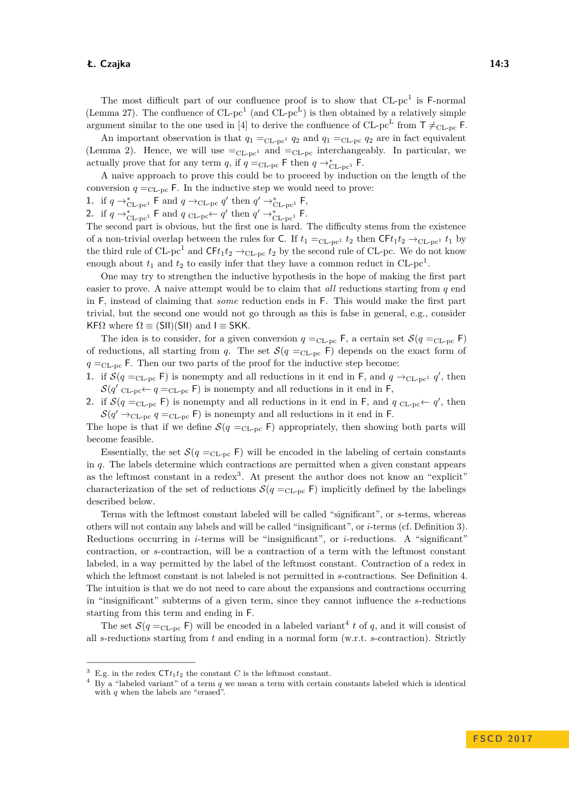The most difficult part of our confluence proof is to show that  $CL$ -pc<sup>1</sup> is  $F$ -normal (Lemma [27\)](#page-14-0). The confluence of  $CL$ -pc<sup>1</sup> (and  $CL$ -pc<sup>L</sup>) is then obtained by a relatively simple argument similar to the one used in [\[4\]](#page-15-3) to derive the confluence of CL-pc<sup>L</sup> from  $T \neq_{CL-pc} F$ .

An important observation is that  $q_1 =_{CL-pc^1} q_2$  and  $q_1 =_{CL-pc} q_2$  are in fact equivalent (Lemma [2\)](#page-5-1). Hence, we will use  $=_{CL-pc}$  and  $=_{CL-pc}$  interchangeably. In particular, we actually prove that for any term *q*, if  $q =_{CL-pc}$  F then  $q \rightarrow_{CL-pc}^*$  F.

A naive approach to prove this could be to proceed by induction on the length of the conversion  $q =_{CL-pc}$  F. In the inductive step we would need to prove:

1. if  $q \rightarrow_{\text{CL-pc}^1}^* \textsf{F}$  and  $q \rightarrow_{\text{CL-pc}} q'$  then  $q' \rightarrow_{\text{CL-pc}^1}^* \textsf{F}$ ,

2. if  $q \rightarrow_{\text{CL-pc}^1}^* \textsf{F}$  and  $q \text{CL-pc} \leftarrow q'$  then  $q' \rightarrow_{\text{CL-pc}^1}^* \textsf{F}$ .

The second part is obvious, but the first one is hard. The difficulty stems from the existence of a non-trivial overlap between the rules for C. If  $t_1 =_{CL-pc^1} t_2$  then  $CFL_1t_2 \rightarrow_{CL-pc^1} t_1$  by the third rule of  $CL$ -pc<sup>1</sup> and  $CFt_1t_2 \rightarrow_{CL-pc} t_2$  by the second rule of CL-pc. We do not know enough about  $t_1$  and  $t_2$  to easily infer that they have a common reduct in  $CL$ -pc<sup>1</sup>.

One may try to strengthen the inductive hypothesis in the hope of making the first part easier to prove. A naive attempt would be to claim that *all* reductions starting from *q* end in F, instead of claiming that *some* reduction ends in F. This would make the first part trivial, but the second one would not go through as this is false in general, e.g., consider KF $\Omega$  where  $\Omega \equiv (SII)(SII)$  and  $I \equiv SKK$ .

The idea is to consider, for a given conversion  $q =_{CL-pc} F$ , a certain set  $\mathcal{S}(q =_{CL-pc} F)$ of reductions, all starting from *q*. The set  $\mathcal{S}(q =_{CL-pc} F)$  depends on the exact form of  $q =$ <sub>CL-pc</sub> F. Then our two parts of the proof for the inductive step become:

**1.** if  $\mathcal{S}(q =_{CL-pc} \mathsf{F})$  is nonempty and all reductions in it end in  $\mathsf{F}$ , and  $q \to_{CL-pc} q'$ , then  $\mathcal{S}(q'_{CL-pc} \leftarrow q =_{CL-pc} F)$  is nonempty and all reductions in it end in F,

**2.** if  $\mathcal{S}(q =_{CL-pc} \mathsf{F})$  is nonempty and all reductions in it end in  $\mathsf{F}$ , and  $q_{CL-pc} \leftarrow q'$ , then  $\mathcal{S}(q' \rightarrow_{\text{CL-pc}} q =_{\text{CL-pc}} \textsf{F})$  is nonempty and all reductions in it end in F.

The hope is that if we define  $\mathcal{S}(q =_{CL-pc} F)$  appropriately, then showing both parts will become feasible.

Essentially, the set  $\mathcal{S}(q =_{CL-pc} F)$  will be encoded in the labeling of certain constants in *q*. The labels determine which contractions are permitted when a given constant appears as the leftmost constant in a redex<sup>[3](#page-2-0)</sup>. At present the author does not know an "explicit" characterization of the set of reductions  $\mathcal{S}(q =_{CL-pc} F)$  implicitly defined by the labelings described below.

Terms with the leftmost constant labeled will be called "significant", or *s*-terms, whereas others will not contain any labels and will be called "insignificant", or *i*-terms (cf. Definition [3\)](#page-5-2). Reductions occurring in *i*-terms will be "insignificant", or *i*-reductions. A "significant" contraction, or *s*-contraction, will be a contraction of a term with the leftmost constant labeled, in a way permitted by the label of the leftmost constant. Contraction of a redex in which the leftmost constant is not labeled is not permitted in *s*-contractions. See Definition [4.](#page-6-0) The intuition is that we do not need to care about the expansions and contractions occurring in "insignificant" subterms of a given term, since they cannot influence the *s*-reductions starting from this term and ending in F.

The set  $\mathcal{S}(q =_{CL-pc} F)$  will be encoded in a labeled variant<sup>[4](#page-2-1)</sup> t of q, and it will consist of all *s*-reductions starting from *t* and ending in a normal form (w.r.t. *s*-contraction). Strictly

<span id="page-2-0"></span> $3$  E.g. in the redex  $\mathsf{CTt}_1t_2$  the constant *C* is the leftmost constant.

<span id="page-2-1"></span><sup>4</sup> By a "labeled variant" of a term *q* we mean a term with certain constants labeled which is identical with *q* when the labels are "erased".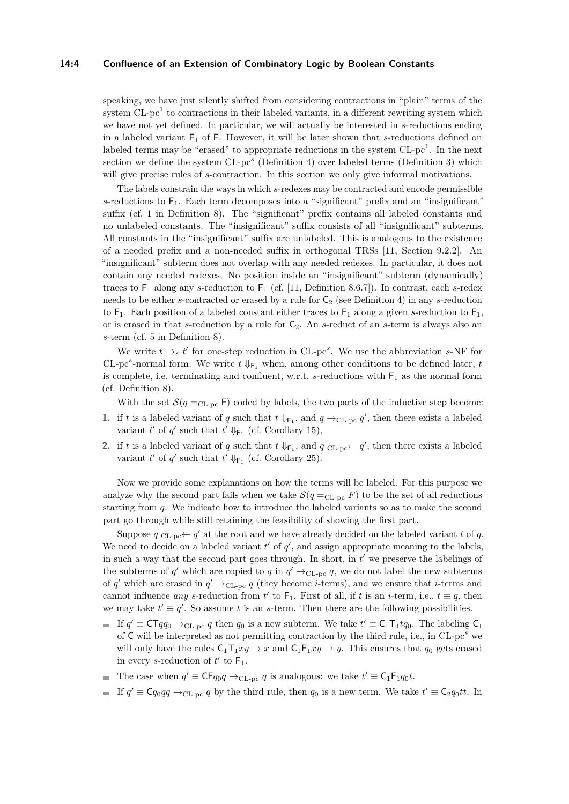## **14:4 Confluence of an Extension of Combinatory Logic by Boolean Constants**

speaking, we have just silently shifted from considering contractions in "plain" terms of the system  $CL$ -pc<sup>1</sup> to contractions in their labeled variants, in a different rewriting system which we have not yet defined. In particular, we will actually be interested in *s*-reductions ending in a labeled variant F<sup>1</sup> of F. However, it will be later shown that *s*-reductions defined on labeled terms may be "erased" to appropriate reductions in the system  $CL$ -pc<sup>1</sup>. In the next section we define the system CL-pc<sup>s</sup> (Definition [4\)](#page-6-0) over labeled terms (Definition [3\)](#page-5-2) which will give precise rules of *s*-contraction. In this section we only give informal motivations.

The labels constrain the ways in which *s*-redexes may be contracted and encode permissible  $s$ -reductions to  $F_1$ . Each term decomposes into a "significant" prefix and an "insignificant" suffix (cf. [1](#page-7-0) in Definition [8\)](#page-7-1). The "significant" prefix contains all labeled constants and no unlabeled constants. The "insignificant" suffix consists of all "insignificant" subterms. All constants in the "insignificant" suffix are unlabeled. This is analogous to the existence of a needed prefix and a non-needed suffix in orthogonal TRSs [\[11,](#page-15-13) Section 9.2.2]. An "insignificant" subterm does not overlap with any needed redexes. In particular, it does not contain any needed redexes. No position inside an "insignificant" subterm (dynamically) traces to F<sup>1</sup> along any *s*-reduction to F<sup>1</sup> (cf. [\[11,](#page-15-13) Definition 8.6.7]). In contrast, each *s*-redex needs to be either *s*-contracted or erased by a rule for  $C_2$  (see Definition [4\)](#page-6-0) in any *s*-reduction to  $F_1$ . Each position of a labeled constant either traces to  $F_1$  along a given *s*-reduction to  $F_1$ , or is erased in that *s*-reduction by a rule for  $C_2$ . An *s*-reduct of an *s*-term is always also an *s*-term (cf. [5](#page-7-2) in Definition [8\)](#page-7-1).

We write  $t \rightarrow_s t'$  for one-step reduction in CL-pc<sup>s</sup>. We use the abbreviation *s*-NF for CL-pc<sup>s</sup>-normal form. We write  $t \downarrow_{\mathsf{F}_1}$  when, among other conditions to be defined later,  $t$ is complete, i.e. terminating and confluent, w.r.t.  $s$ -reductions with  $F_1$  as the normal form (cf. Definition [8\)](#page-7-1).

With the set  $\mathcal{S}(q =_{CL-DC} F)$  coded by labels, the two parts of the inductive step become:

- **1.** if *t* is a labeled variant of *q* such that  $t \downarrow_{\text{F}_1}$ , and  $q \rightarrow_{\text{CL-pc}} q'$ , then there exists a labeled variant  $t'$  of  $q'$  such that  $t' \Downarrow_{\mathsf{F}_1}$  (cf. Corollary [15\)](#page-10-0),
- 2. if *t* is a labeled variant of *q* such that  $t \downarrow_{\text{F}_1}$ , and  $q \text{CL-pc} \leftarrow q'$ , then there exists a labeled variant  $t'$  of  $q'$  such that  $t' \Downarrow_{\mathsf{F}_1}$  (cf. Corollary [25\)](#page-13-0).

Now we provide some explanations on how the terms will be labeled. For this purpose we analyze why the second part fails when we take  $\mathcal{S}(q =_{\text{CL-pc}} F)$  to be the set of all reductions starting from *q*. We indicate how to introduce the labeled variants so as to make the second part go through while still retaining the feasibility of showing the first part.

Suppose  $q_{CL-pc} \leftarrow q'$  at the root and we have already decided on the labeled variant t of q. We need to decide on a labeled variant  $t'$  of  $q'$ , and assign appropriate meaning to the labels, in such a way that the second part goes through. In short, in  $t'$  we preserve the labelings of the subterms of  $q'$  which are copied to  $q$  in  $q' \rightarrow_{CL-pc} q$ , we do not label the new subterms of *q*' which are erased in  $q' \rightarrow_{CL-pc} q$  (they become *i*-terms), and we ensure that *i*-terms and cannot influence *any s*-reduction from  $t'$  to  $F_1$ . First of all, if  $t$  is an *i*-term, i.e.,  $t \equiv q$ , then we may take  $t' \equiv q'$ . So assume t is an s-term. Then there are the following possibilities.

- If  $q' \equiv \mathsf{CT} q q_0 \rightarrow_{\mathsf{CL-pc}} q$  then  $q_0$  is a new subterm. We take  $t' \equiv \mathsf{C}_1 \mathsf{T}_1 t q_0$ . The labeling  $\mathsf{C}_1$ of C will be interpreted as not permitting contraction by the third rule, i.e., in CL-pc*<sup>s</sup>* we will only have the rules  $C_1T_1xy \rightarrow x$  and  $C_1F_1xy \rightarrow y$ . This ensures that  $q_0$  gets erased in every *s*-reduction of  $t'$  to  $F_1$ .
- The case when  $q' \equiv \mathsf{CF}q_0q \rightarrow_{\text{CL-pc}} q$  is analogous: we take  $t' \equiv \mathsf{C}_1\mathsf{F}_1q_0t$ .
- If  $q' \equiv \mathsf{C} q_0 q q \rightarrow_{\text{CL-pc}} q$  by the third rule, then  $q_0$  is a new term. We take  $t' \equiv \mathsf{C}_2 q_0 t t$ . In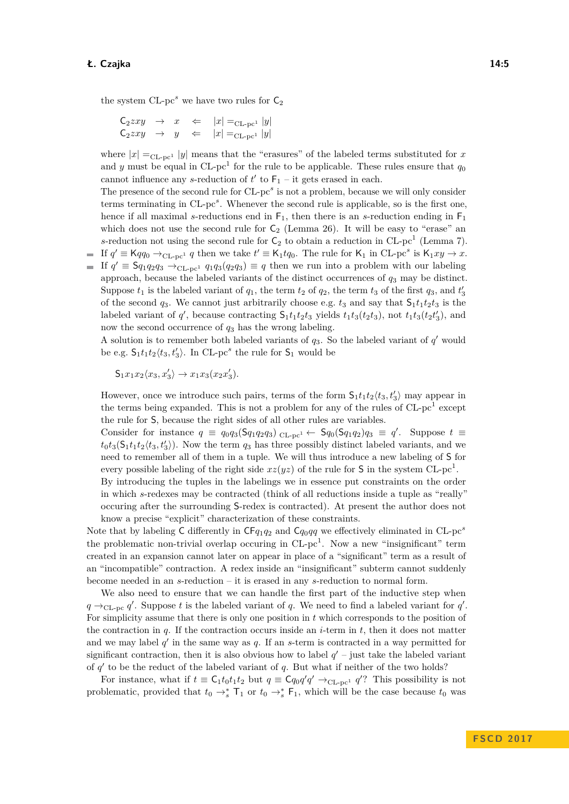the system  $CL$ -pc<sup>s</sup> we have two rules for  $C_2$ 

 $C_2zxy \rightarrow x \Leftarrow |x| = C_{\text{CL-pc}1} |y|$  $C_2zxy \rightarrow y \leftarrow |x| = C_{\text{L-pc}1} |y|$ 

where  $|x| =_{CL-pc^1} |y|$  means that the "erasures" of the labeled terms substituted for *x* and *y* must be equal in  $CL$ -pc<sup>1</sup> for the rule to be applicable. These rules ensure that  $q_0$ cannot influence any *s*-reduction of  $t'$  to  $F_1$  – it gets erased in each.

The presence of the second rule for CL-pc<sup>s</sup> is not a problem, because we will only consider terms terminating in CL-pc*<sup>s</sup>* . Whenever the second rule is applicable, so is the first one, hence if all maximal *s*-reductions end in  $F_1$ , then there is an *s*-reduction ending in  $F_1$ which does not use the second rule for  $C_2$  (Lemma [26\)](#page-13-1). It will be easy to "erase" an s-reduction not using the second rule for  $C_2$  to obtain a reduction in CL-pc<sup>1</sup> (Lemma [7\)](#page-7-3). If  $q' \equiv \mathsf{K} q q_0 \rightarrow_{\text{CL-pc}^1} q$  then we take  $t' \equiv \mathsf{K}_1 t q_0$ . The rule for  $\mathsf{K}_1$  in  $\text{CL-pc}^s$  is  $\mathsf{K}_1 xy \rightarrow x$ .

If  $q' \equiv \mathsf{S}q_1q_2q_3 \rightarrow_{\text{CL-pc}^1} q_1q_3(q_2q_3) \equiv q$  then we run into a problem with our labeling approach, because the labeled variants of the distinct occurrences of *q*<sup>3</sup> may be distinct. Suppose  $t_1$  is the labeled variant of  $q_1$ , the term  $t_2$  of  $q_2$ , the term  $t_3$  of the first  $q_3$ , and  $t'_3$ of the second  $q_3$ . We cannot just arbitrarily choose e.g.  $t_3$  and say that  $S_1t_1t_2t_3$  is the labeled variant of  $q'$ , because contracting  $S_1t_1t_2t_3$  yields  $t_1t_3(t_2t_3)$ , not  $t_1t_3(t_2t'_3)$ , and now the second occurrence of *q*<sup>3</sup> has the wrong labeling.

A solution is to remember both labeled variants of  $q_3$ . So the labeled variant of  $q'$  would be e.g.  $S_1t_1t_2\langle t_3, t'_3\rangle$ . In CL-pc<sup>s</sup> the rule for  $S_1$  would be

$$
S_1x_1x_2\langle x_3, x_3'\rangle \rightarrow x_1x_3(x_2x_3').
$$

However, once we introduce such pairs, terms of the form  $S_1t_1t_2\langle t_3, t'_3\rangle$  may appear in the terms being expanded. This is not a problem for any of the rules of  $CL$ -pc<sup>1</sup> except the rule for S, because the right sides of all other rules are variables.

Consider for instance  $q \equiv q_0q_3(\mathsf{S}q_1q_2q_3)$  CL-pc<sup>1</sup> ←  $\mathsf{S}q_0(\mathsf{S}q_1q_2)q_3 \equiv q'$ . Suppose  $t \equiv$  $t_0t_3(\mathsf{S}_1t_1t_2\langle t_3,t'_3\rangle)$ . Now the term  $q_3$  has three possibly distinct labeled variants, and we need to remember all of them in a tuple. We will thus introduce a new labeling of S for every possible labeling of the right side  $xz(yz)$  of the rule for S in the system  $CL$ -pc<sup>1</sup>.

By introducing the tuples in the labelings we in essence put constraints on the order in which *s*-redexes may be contracted (think of all reductions inside a tuple as "really" occuring after the surrounding S-redex is contracted). At present the author does not know a precise "explicit" characterization of these constraints.

Note that by labeling C differently in CF*q*1*q*<sup>2</sup> and C*q*0*qq* we effectively eliminated in CL-pc*<sup>s</sup>* the problematic non-trivial overlap occuring in  $CL$ -pc<sup>1</sup>. Now a new "insignificant" term created in an expansion cannot later on appear in place of a "significant" term as a result of an "incompatible" contraction. A redex inside an "insignificant" subterm cannot suddenly become needed in an *s*-reduction – it is erased in any *s*-reduction to normal form.

We also need to ensure that we can handle the first part of the inductive step when  $q \rightarrow_{\text{CL-pc}} q'$ . Suppose *t* is the labeled variant of *q*. We need to find a labeled variant for *q'*. For simplicity assume that there is only one position in *t* which corresponds to the position of the contraction in  $q$ . If the contraction occurs inside an  $i$ -term in  $t$ , then it does not matter and we may label  $q'$  in the same way as  $q$ . If an *s*-term is contracted in a way permitted for significant contraction, then it is also obvious how to label  $q'$  – just take the labeled variant of  $q'$  to be the reduct of the labeled variant of  $q$ . But what if neither of the two holds?

For instance, what if  $t \equiv C_1 t_0 t_1 t_2$  but  $q \equiv C q_0 q' q' \rightarrow_{CL-pc^1} q'$ ? This possibility is not problematic, provided that  $t_0 \rightarrow_s^*$  T<sub>1</sub> or  $t_0 \rightarrow_s^*$  F<sub>1</sub>, which will be the case because  $t_0$  was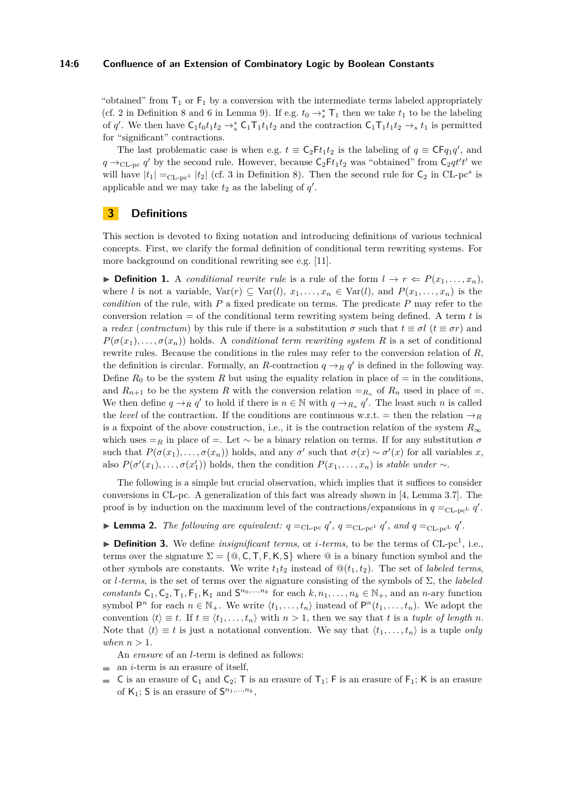## **14:6 Confluence of an Extension of Combinatory Logic by Boolean Constants**

"obtained" from  $T_1$  or  $F_1$  by a conversion with the intermediate terms labeled appropriately (cf. [2](#page-7-4) in Definition [8](#page-7-1) and [6](#page-7-5) in Lemma [9\)](#page-7-6). If e.g.  $t_0 \rightarrow_s^*$  T<sub>1</sub> then we take  $t_1$  to be the labeling of *q*'. We then have  $C_1t_0t_1t_2 \rightarrow_s^* C_1T_1t_1t_2$  and the contraction  $C_1T_1t_1t_2 \rightarrow_s t_1$  is permitted for "significant" contractions.

The last problematic case is when e.g.  $t \equiv C_2Ft_1t_2$  is the labeling of  $q \equiv CFq_1q'$ , and  $q \rightarrow_{\text{CL-pc}} q'$  by the second rule. However, because  $C_2Ft_1t_2$  was "obtained" from  $C_2qt't'$  we will have  $|t_1| =_{CL-pc^1} |t_2|$  (cf. [3](#page-7-7) in Definition [8\)](#page-7-1). Then the second rule for  $C_2$  in CL-pc<sup>s</sup> is applicable and we may take  $t_2$  as the labeling of  $q'$ .

# <span id="page-5-0"></span>**3 Definitions**

This section is devoted to fixing notation and introducing definitions of various technical concepts. First, we clarify the formal definition of conditional term rewriting systems. For more background on conditional rewriting see e.g. [\[11\]](#page-15-13).

▶ **Definition 1.** A *conditional rewrite rule* is a rule of the form  $l \rightarrow r \Leftarrow P(x_1, \ldots, x_n)$ , where *l* is not a variable,  $Var(r) \subseteq Var(l), x_1, \ldots, x_n \in Var(l),$  and  $P(x_1, \ldots, x_n)$  is the *condition* of the rule, with *P* a fixed predicate on terms. The predicate *P* may refer to the conversion relation = of the conditional term rewriting system being defined. A term *t* is a *redex* (*contractum*) by this rule if there is a substitution  $\sigma$  such that  $t \equiv \sigma l$  ( $t \equiv \sigma r$ ) and  $P(\sigma(x_1), \ldots, \sigma(x_n))$  holds. A *conditional term rewriting system R* is a set of conditional rewrite rules. Because the conditions in the rules may refer to the conversion relation of *R*, the definition is circular. Formally, an *R*-contraction  $q \rightarrow_R q'$  is defined in the following way. Define  $R_0$  to be the system R but using the equality relation in place of  $=$  in the conditions, and  $R_{n+1}$  to be the system R with the conversion relation  $=_{R_n}$  of  $R_n$  used in place of  $=$ . We then define  $q \rightarrow_R q'$  to hold if there is  $n \in \mathbb{N}$  with  $q \rightarrow_{R_n} q'$ . The least such *n* is called the *level* of the contraction. If the conditions are continuous w.r.t. = then the relation  $\rightarrow_R$ is a fixpoint of the above construction, i.e., it is the contraction relation of the system  $R_{\infty}$ which uses  $=$ <sub>R</sub> in place of  $=$ . Let  $\sim$  be a binary relation on terms. If for any substitution  $\sigma$ such that  $P(\sigma(x_1), \ldots, \sigma(x_n))$  holds, and any  $\sigma'$  such that  $\sigma(x) \sim \sigma'(x)$  for all variables *x*, also  $P(\sigma'(x_1), \ldots, \sigma(x'_1))$  holds, then the condition  $P(x_1, \ldots, x_n)$  is *stable under* ∼.

The following is a simple but crucial observation, which implies that it suffices to consider conversions in CL-pc. A generalization of this fact was already shown in [\[4,](#page-15-3) Lemma 3.7]. The proof is by induction on the maximum level of the contractions/expansions in  $q =_{CL-pc} q'$ .

<span id="page-5-1"></span>**Example 2.** The following are equivalent:  $q =_{CL-pc} q'$ ,  $q =_{CL-pc} q'$ , and  $q =_{CL-pc} q'$ .

<span id="page-5-2"></span> $\triangleright$  **Definition 3.** We define *insignificant terms*, or *i*-terms, to be the terms of CL-pc<sup>1</sup>, i.e., terms over the signature  $\Sigma = \{\omega, C, T, F, K, S\}$  where  $\omega$  is a binary function symbol and the other symbols are constants. We write  $t_1t_2$  instead of  $\mathcal{Q}(t_1, t_2)$ . The set of *labeled terms*, or *l-terms*, is the set of terms over the signature consisting of the symbols of Σ, the *labeled constants*  $C_1, C_2, T_1, F_1, K_1$  and  $S^{n_0, \ldots, n_k}$  for each  $k, n_1, \ldots, n_k \in \mathbb{N}_+$ , and an *n*-ary function symbol  $P^n$  for each  $n \in \mathbb{N}_+$ . We write  $\langle t_1, \ldots, t_n \rangle$  instead of  $P^n(t_1, \ldots, t_n)$ . We adopt the convention  $\langle t \rangle \equiv t$ . If  $t \equiv \langle t_1, \ldots, t_n \rangle$  with  $n > 1$ , then we say that t is a tuple of length n. Note that  $\langle t \rangle \equiv t$  is just a notational convention. We say that  $\langle t_1, \ldots, t_n \rangle$  is a tuple *only* when  $n > 1$ .

An *erasure* of an *l*-term is defined as follows:

- $\blacksquare$  an *i*-term is an erasure of itself.
- C is an erasure of  $C_1$  and  $C_2$ ; T is an erasure of  $T_1$ ; F is an erasure of  $F_1$ ; K is an erasure of  $K_1$ ; S is an erasure of  $S^{n_1,...,n_k}$ ,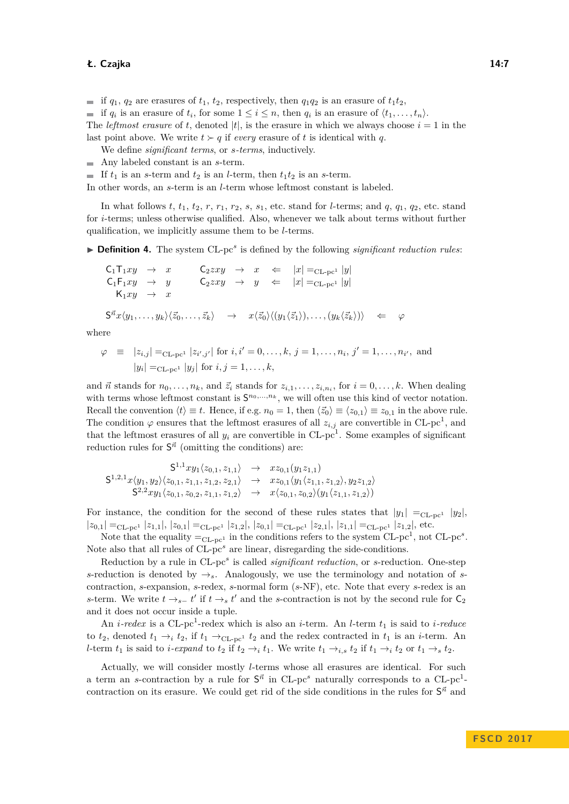if  $q_1$ ,  $q_2$  are erasures of  $t_1$ ,  $t_2$ , respectively, then  $q_1q_2$  is an erasure of  $t_1t_2$ ,

if  $q_i$  is an erasure of  $t_i$ , for some  $1 \leq i \leq n$ , then  $q_i$  is an erasure of  $\langle t_1, \ldots, t_n \rangle$ .

The *leftmost erasure* of *t*, denoted  $|t|$ , is the erasure in which we always choose  $i = 1$  in the last point above. We write  $t > q$  if *every* erasure of t is identical with q.

We define *significant terms*, or *s-terms*, inductively.

- Any labeled constant is an *s*-term.
- If  $t_1$  is an *s*-term and  $t_2$  is an *l*-term, then  $t_1t_2$  is an *s*-term.

In other words, an *s*-term is an *l*-term whose leftmost constant is labeled.

In what follows  $t$ ,  $t_1$ ,  $t_2$ ,  $r$ ,  $r_1$ ,  $r_2$ ,  $s$ ,  $s_1$ , etc. stand for *l*-terms; and  $q$ ,  $q_1$ ,  $q_2$ , etc. stand for *i*-terms; unless otherwise qualified. Also, whenever we talk about terms without further qualification, we implicitly assume them to be *l*-terms.

<span id="page-6-0"></span>▶ **Definition 4.** The system CL-pc<sup>s</sup> is defined by the following *significant reduction rules*:

$$
C_1T_1xy \rightarrow x \qquad C_2xy \rightarrow x \iff |x| =_{CL-pc^1} |y|
$$
  
\n
$$
C_1F_1xy \rightarrow y \qquad C_2xy \rightarrow y \iff |x| =_{CL-pc^1} |y|
$$
  
\n
$$
K_1xy \rightarrow x
$$
  
\n
$$
S^{\vec{n}}x\langle y_1, \ldots, y_k \rangle \langle \vec{z}_0, \ldots, \vec{z}_k \rangle \rightarrow x\langle \vec{z}_0 \rangle \langle (y_1 \langle \vec{z}_1 \rangle), \ldots, (y_k \langle \vec{z}_k \rangle) \rangle \iff \varphi
$$

where

$$
\varphi \equiv |z_{i,j}| =_{\text{CL-pc}^1} |z_{i',j'}| \text{ for } i, i' = 0, \dots, k, j = 1, \dots, n_i, j' = 1, \dots, n_{i'}, \text{ and}
$$
  

$$
|y_i| =_{\text{CL-pc}^1} |y_j| \text{ for } i, j = 1, \dots, k,
$$

and  $\vec{n}$  stands for  $n_0, \ldots, n_k$ , and  $\vec{z}_i$  stands for  $z_{i,1}, \ldots, z_{i,n_i}$ , for  $i = 0, \ldots, k$ . When dealing with terms whose leftmost constant is  $S^{n_0,...,n_k}$ , we will often use this kind of vector notation. Recall the convention  $\langle t \rangle \equiv t$ . Hence, if e.g.  $n_0 = 1$ , then  $\langle \vec{z}_0 \rangle \equiv \langle z_{0,1} \rangle \equiv z_{0,1}$  in the above rule. The condition  $\varphi$  ensures that the leftmost erasures of all  $z_{i,j}$  are convertible in CL-pc<sup>1</sup>, and that the leftmost erasures of all  $y_i$  are convertible in  $CL$ -pc<sup>1</sup>. Some examples of significant reduction rules for  $S^{\vec{n}}$  (omitting the conditions) are:

 $S^{1,1}xy_1\langle z_{0,1}, z_{1,1}\rangle \rightarrow xz_{0,1}(y_1z_{1,1})$  $S^{1,2,1}x \langle y_1, y_2 \rangle \langle z_{0,1}, z_{1,1}, z_{1,2}, z_{2,1} \rangle \rightarrow x z_{0,1} \langle y_1 \langle z_{1,1}, z_{1,2} \rangle, y_2 z_{1,2} \rangle$  $S^{2,2}xy_1\langle z_{0,1}, z_{0,2}, z_{1,1}, z_{1,2}\rangle \rightarrow x\langle z_{0,1}, z_{0,2}\rangle(y_1\langle z_{1,1}, z_{1,2}\rangle)$ 

For instance, the condition for the second of these rules states that  $|y_1| =_{CL-pc^1} |y_2|$ ,  $|z_{0,1}| =_{\text{CL-pc}^1} |z_{1,1}|, |z_{0,1}| =_{\text{CL-pc}^1} |z_{1,2}|, |z_{0,1}| =_{\text{CL-pc}^1} |z_{2,1}|, |z_{1,1}| =_{\text{CL-pc}^1} |z_{1,2}|,$  etc.

Note that the equality  $=_{CL-pc^1}$  in the conditions refers to the system CL-pc<sup>1</sup>, not CL-pc<sup>s</sup>. Note also that all rules of CL-pc<sup>s</sup> are linear, disregarding the side-conditions.

Reduction by a rule in CL-pc*<sup>s</sup>* is called *significant reduction*, or *s*-reduction. One-step *s*-reduction is denoted by  $\rightarrow$ <sub>s</sub>. Analogously, we use the terminology and notation of *s*contraction, *s*-expansion, *s*-redex, *s*-normal form (*s*-NF), etc. Note that every *s*-redex is an *s*-term. We write  $t \rightarrow_{s^-} t'$  if  $t \rightarrow_s t'$  and the *s*-contraction is not by the second rule for  $C_2$ and it does not occur inside a tuple.

An *i*-redex is a CL-pc<sup>1</sup>-redex which is also an *i*-term. An *l*-term  $t_1$  is said to *i*-reduce to  $t_2$ , denoted  $t_1 \rightarrow_i t_2$ , if  $t_1 \rightarrow_{CL-pc^1} t_2$  and the redex contracted in  $t_1$  is an *i*-term. An *l*-term  $t_1$  is said to *i*-expand to  $t_2$  if  $t_2 \rightarrow i$ ,  $t_1$ . We write  $t_1 \rightarrow_{i,s} t_2$  if  $t_1 \rightarrow_i t_2$  or  $t_1 \rightarrow_s t_2$ .

Actually, we will consider mostly *l*-terms whose all erasures are identical. For such a term an *s*-contraction by a rule for  $S^{\vec{n}}$  in CL-pc<sup>*s*</sup> naturally corresponds to a CL-pc<sup>1</sup>contraction on its erasure. We could get rid of the side conditions in the rules for  $S^{\vec{n}}$  and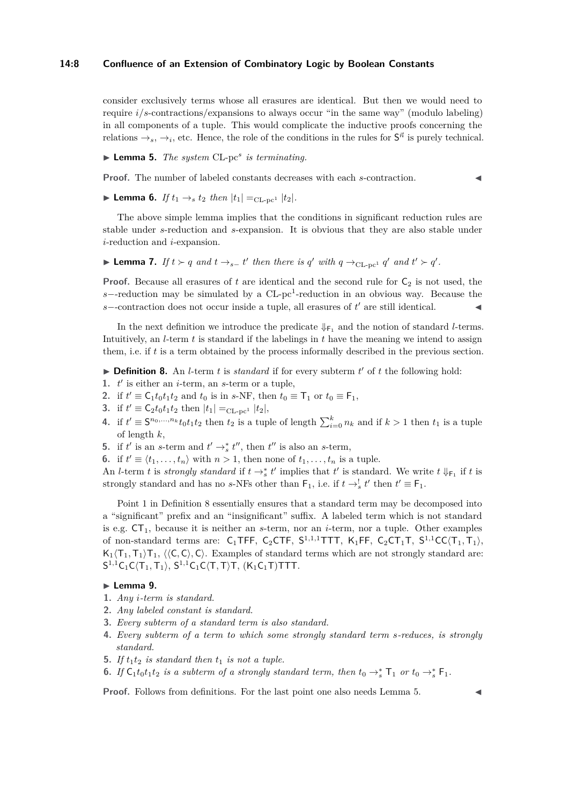## **14:8 Confluence of an Extension of Combinatory Logic by Boolean Constants**

consider exclusively terms whose all erasures are identical. But then we would need to require *i*/*s*-contractions/expansions to always occur "in the same way" (modulo labeling) in all components of a tuple. This would complicate the inductive proofs concerning the relations  $\rightarrow_s, \rightarrow_i$ , etc. Hence, the role of the conditions in the rules for  $S^{\vec{n}}$  is purely technical.

<span id="page-7-8"></span>▶ **Lemma 5.** *The system* CL-pc<sup>*s*</sup> *is terminating.* 

**Proof.** The number of labeled constants decreases with each *s*-contraction.

▶ **Lemma 6.** *If*  $t_1$  →  $t_2$  *then*  $|t_1| = C1$ -pc<sup>1</sup>  $|t_2|$ *.* 

The above simple lemma implies that the conditions in significant reduction rules are stable under *s*-reduction and *s*-expansion. It is obvious that they are also stable under *i*-reduction and *i*-expansion.

<span id="page-7-3"></span>
$$
\blacktriangleright
$$
 Lemma 7. If  $t \succ q$  and  $t \rightarrow_{s-} t'$  then there is  $q'$  with  $q \rightarrow_{\text{CL-pc}^1} q'$  and  $t' \succ q'$ .

**Proof.** Because all erasures of  $t$  are identical and the second rule for  $C_2$  is not used, the *s*−-reduction may be simulated by a CL-pc<sup>1</sup>-reduction in an obvious way. Because the  $s$  –-contraction does not occur inside a tuple, all erasures of  $t'$  are still identical.

In the next definition we introduce the predicate  $\Downarrow_{\mathsf{F}_1}$  and the notion of standard *l*-terms. Intuitively, an *l*-term *t* is standard if the labelings in *t* have the meaning we intend to assign them, i.e. if *t* is a term obtained by the process informally described in the previous section.

<span id="page-7-1"></span> $\triangleright$  **Definition 8.** An *l*-term *t* is *standard* if for every subterm *t'* of *t* the following hold:

- <span id="page-7-0"></span>1.  $t'$  is either an *i*-term, an *s*-term or a tuple,
- <span id="page-7-4"></span>**2.** if  $t' \equiv C_1 t_0 t_1 t_2$  and  $t_0$  is in *s*-NF, then  $t_0 \equiv T_1$  or  $t_0 \equiv F_1$ ,
- <span id="page-7-7"></span>**3.** if  $t' \equiv C_2 t_0 t_1 t_2$  then  $|t_1| =_{CL-pc^1} |t_2|$ ,
- <span id="page-7-9"></span>**4.** if  $t' \equiv S^{n_0, ..., n_k} t_0 t_1 t_2$  then  $t_2$  is a tuple of length  $\sum_{i=0}^k n_k$  and if  $k > 1$  then  $t_1$  is a tuple of length *k*,
- <span id="page-7-2"></span>**5.** if  $t'$  is an *s*-term and  $t' \rightarrow_s^* t''$ , then  $t''$  is also an *s*-term,
- <span id="page-7-10"></span>**6.** if  $t' \equiv \langle t_1, \ldots, t_n \rangle$  with  $n > 1$ , then none of  $t_1, \ldots, t_n$  is a tuple.

An *l*-term *t* is *strongly standard* if  $t \to s$ <sup>\*</sup> *t*<sup>'</sup> implies that *t*<sup>'</sup> is standard. We write  $t \Downarrow_{\mathsf{F}_1}$  if *t* is strongly standard and has no *s*-NFs other than  $\mathsf{F}_1$ , i.e. if  $t \to_s^! t'$  then  $t' \equiv \mathsf{F}_1$ .

Point [1](#page-7-0) in Definition [8](#page-7-1) essentially ensures that a standard term may be decomposed into a "significant" prefix and an "insignificant" suffix. A labeled term which is not standard is e.g.  $CT_1$ , because it is neither an *s*-term, nor an *i*-term, nor a tuple. Other examples of non-standard terms are:  $C_1$ TFF,  $C_2$ CTF,  $S^{1,1,1}$ TTT,  $K_1$ FF,  $C_2$ CT<sub>1</sub>T,  $S^{1,1}$ CC $\langle T_1, T_1 \rangle$ ,  $K_1\langle T_1, T_1 \rangle T_1$ ,  $\langle \langle C, C \rangle, C \rangle$ . Examples of standard terms which are not strongly standard are:  $S^{1,1}C_1C\langle T_1, T_1 \rangle, S^{1,1}C_1C\langle T, T \rangle T, (K_1C_1T)TTT.$ 

## <span id="page-7-6"></span>► Lemma 9.

- **1.** *Any i-term is standard.*
- **2.** *Any labeled constant is standard.*
- **3.** *Every subterm of a standard term is also standard.*
- **4.** *Every subterm of a term to which some strongly standard term s-reduces, is strongly standard.*
- **5.** If  $t_1t_2$  is standard then  $t_1$  is not a tuple.
- <span id="page-7-5"></span>**6.** *If*  $C_1t_0t_1t_2$  *is a subterm of a strongly standard term, then*  $t_0 \rightarrow_s^*$   $T_1$  *or*  $t_0 \rightarrow_s^*$   $F_1$ *.*

**Proof.** Follows from definitions. For the last point one also needs Lemma [5.](#page-7-8)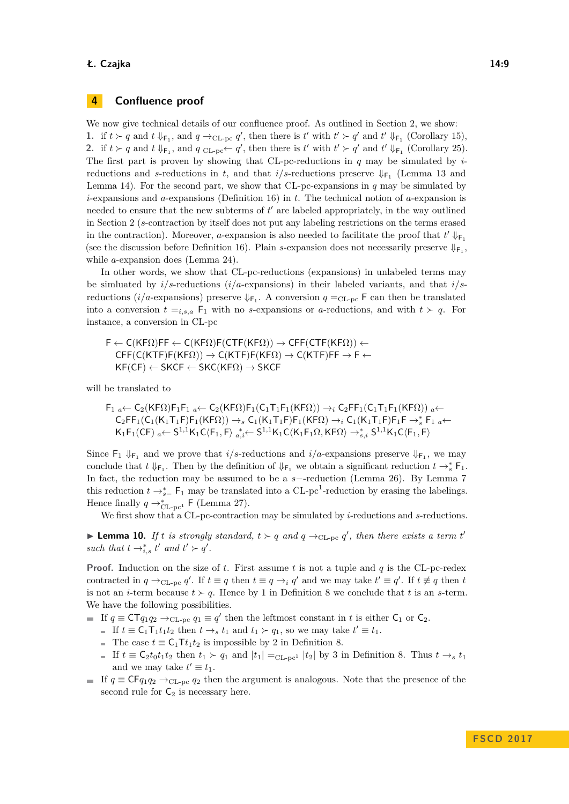## <span id="page-8-0"></span>**4 Confluence proof**

We now give technical details of our confluence proof. As outlined in Section [2,](#page-1-1) we show: 1. if  $t > q$  and  $t \downarrow_{\mathsf{F}_1}$ , and  $q \rightarrow_{\text{CL-pc}} q'$ , then there is  $t'$  with  $t' > q'$  and  $t' \downarrow_{\mathsf{F}_1}$  (Corollary [15\)](#page-10-0), 2. if  $t > q$  and  $t \downarrow_{\mathsf{F}_1}$ , and  $q \text{CL-pc} \leftarrow q'$ , then there is  $t'$  with  $t' > q'$  and  $t' \downarrow_{\mathsf{F}_1}$  (Corollary [25\)](#page-13-0). The first part is proven by showing that CL-pc-reductions in *q* may be simulated by *i*reductions and *s*-reductions in *t*, and that  $i/s$ -reductions preserve  $\Downarrow_{\mathsf{F}_1}$  (Lemma [13](#page-10-1) and Lemma [14\)](#page-10-2). For the second part, we show that CL-pc-expansions in *q* may be simulated by *i*-expansions and *a*-expansions (Definition [16\)](#page-11-0) in *t*. The technical notion of *a*-expansion is needed to ensure that the new subterms of  $t'$  are labeled appropriately, in the way outlined in Section [2](#page-1-1) (*s*-contraction by itself does not put any labeling restrictions on the terms erased in the contraction). Moreover, *a*-expansion is also needed to facilitate the proof that  $t' \Downarrow_{\mathsf{F}_1}$ (see the discussion before Definition [16\)](#page-11-0). Plain *s*-expansion does not necessarily preserve  $\Downarrow_{\text{F}_1}$ , while *a*-expansion does (Lemma [24\)](#page-13-2).

In other words, we show that CL-pc-reductions (expansions) in unlabeled terms may be simluated by *i*/*s*-reductions (*i*/*a*-expansions) in their labeled variants, and that *i*/*s*reductions ( $i/a$ -expansions) preserve  $\Downarrow_{\mathsf{F}_1}$ . A conversion  $q =_{\text{CL-pc}} \mathsf{F}$  can then be translated into a conversion  $t =_{i,s,a}$   $F_1$  with no *s*-expansions or *a*-reductions, and with  $t > q$ . For instance, a conversion in CL-pc

$$
F \leftarrow C(KF\Omega)FF \leftarrow C(KF\Omega)F(CTF(KF\Omega)) \rightarrow CFF(CTF(KF\Omega)) \leftarrow
$$
  
CFF(C(KTF)F(KF\Omega)) \rightarrow C(KTF)F(KF\Omega) \rightarrow C(KTF)FF \rightarrow F \leftarrow  
KF(CF) \leftarrow SKCF \leftarrow SKC(KF\Omega) \rightarrow SKCF

will be translated to

$$
F_1 \underset{a \leftarrow}{\leftarrow} C_2(KF\Omega)F_1F_1 \underset{a \leftarrow}{\leftarrow} C_2(KF\Omega)F_1(C_1T_1F_1(KF\Omega)) \rightarrow_i C_2FF_1(C_1T_1F_1(KF\Omega)) \underset{a \leftarrow}{\leftarrow} C_2FF_1(C_1(K_1T_1F)F_1(KF\Omega)) \rightarrow_s C_1(K_1T_1F)F_1(KF\Omega) \rightarrow_i C_1(K_1T_1F)F_1F \rightarrow_s^* F_1 \underset{a \leftarrow}{\leftarrow} K_1F_1(CF) \underset{a \leftarrow}{\leftarrow} S^{1,1}K_1C\langle F_1, F \rangle \underset{a, i \leftarrow}{\rightarrow} S^{1,1}K_1C\langle K_1F_1\Omega, KF\Omega \rangle \rightarrow_{s,i}^* S^{1,1}K_1C\langle F_1, F \rangle
$$

Since  $F_1 \downarrow_{F_1}$  and we prove that *i/s*-reductions and *i/a*-expansions preserve  $\downarrow_{F_1}$ , we may conclude that  $t \downarrow_{\mathsf{F}_1}$ . Then by the definition of  $\downarrow_{\mathsf{F}_1}$  we obtain a significant reduction  $t \to_s^* \mathsf{F}_1$ . In fact, the reduction may be assumed to be a *s*−-reduction (Lemma [26\)](#page-13-1). By Lemma [7](#page-7-3) this reduction  $t \rightarrow_{s-}^*$  F<sub>1</sub> may be translated into a CL-pc<sup>1</sup>-reduction by erasing the labelings. Hence finally  $q \rightarrow_{CL-pc^1}^* F$  (Lemma [27\)](#page-14-0).

We first show that a CL-pc-contraction may be simulated by *i*-reductions and *s*-reductions.

<span id="page-8-1"></span>**Lemma 10.** *If t is strongly standard,*  $t > q$  *and*  $q \rightarrow_{CL-pc} q'$ , *then there exists a term t'* such that  $t \rightarrow_{i,s}^* t'$  and  $t' \succ q'$ .

**Proof.** Induction on the size of *t*. First assume *t* is not a tuple and *q* is the CL-pc-redex contracted in  $q \rightarrow_{CL-pc} q'$ . If  $t \equiv q$  then  $t \equiv q \rightarrow_i q'$  and we may take  $t' \equiv q'$ . If  $t \not\equiv q$  then  $t$ is not an *i*-term because  $t > q$ . Hence by [1](#page-7-0) in Definition [8](#page-7-1) we conclude that *t* is an *s*-term. We have the following possibilities.

- If  $q \equiv \text{CT} q_1 q_2 \rightarrow_{\text{CL-pc}} q_1 \equiv q'$  then the leftmost constant in *t* is either  $\text{C}_1$  or  $\text{C}_2$ .
	- If  $t \equiv C_1 T_1 t_1 t_2$  then  $t \rightarrow_s t_1$  and  $t_1 \succ q_1$ , so we may take  $t' \equiv t_1$ .
	- The case  $t \equiv C_1 \tau_{t_1 t_2}$  is impossible by [2](#page-7-4) in Definition [8.](#page-7-1)
	- If  $t \equiv \mathsf{C}_2 t_0 t_1 t_2$  then  $t_1 \succ q_1$  and  $|t_1| = \mathsf{C}_{\text{L-DC}1} |t_2|$  by [3](#page-7-7) in Definition [8.](#page-7-1) Thus  $t \to_s t_1$ and we may take  $t' \equiv t_1$ .
- If  $q \equiv \text{CF}_{q_1q_2} \rightarrow_{\text{CL-pc}} q_2$  then the argument is analogous. Note that the presence of the second rule for  $C_2$  is necessary here.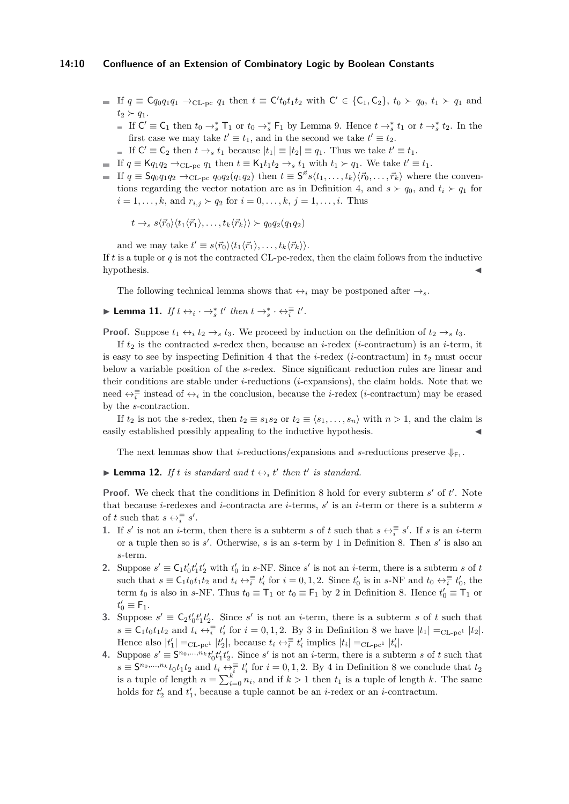## **14:10 Confluence of an Extension of Combinatory Logic by Boolean Constants**

- If  $q \equiv \mathsf{C} q_0 q_1 q_1 \rightarrow_{\text{CL-pc}} q_1$  then  $t \equiv \mathsf{C}' t_0 t_1 t_2$  with  $\mathsf{C}' \in \{\mathsf{C}_1,\mathsf{C}_2\},\ t_0 \succ q_0,\ t_1 \succ q_1$  and  $t_2 \succ q_1$ .
	- If  $C' \equiv C_1$  then  $t_0 \rightarrow_s^* T_1$  or  $t_0 \rightarrow_s^* F_1$  by Lemma [9.](#page-7-6) Hence  $t \rightarrow_s^* t_1$  or  $t \rightarrow_s^* t_2$ . In the first case we may take  $t' \equiv t_1$ , and in the second we take  $t' \equiv t_2$ .
- If  $C' \equiv C_2$  then  $t \to_s t_1$  because  $|t_1| \equiv |t_2| \equiv q_1$ . Thus we take  $t' \equiv t_1$ .
- If  $q \equiv \mathsf{K} q_1 q_2 \rightarrow_{\text{CL-pc}} q_1$  then  $t \equiv \mathsf{K}_1 t_1 t_2 \rightarrow_s t_1$  with  $t_1 \succ q_1$ . We take  $t' \equiv t_1$ .
- If  $q \equiv \mathsf{S}q_0q_1q_2 \rightarrow_{\text{CL-pc}} q_0q_2(q_1q_2)$  then  $t \equiv \mathsf{S}^{\vec{n}}s\langle t_1,\ldots,t_k\rangle\langle \vec{r}_0,\ldots,\vec{r}_k\rangle$  where the conven-tions regarding the vector notation are as in Definition [4,](#page-6-0) and  $s \succ q_0$ , and  $t_i \succ q_1$  for  $i = 1, \ldots, k$ , and  $r_{i,j} \succ q_2$  for  $i = 0, \ldots, k, j = 1, \ldots, i$ . Thus

$$
t \to_s s \langle \vec{r}_0 \rangle \langle t_1 \langle \vec{r}_1 \rangle, \dots, t_k \langle \vec{r}_k \rangle \rangle \succ q_0 q_2(q_1 q_2)
$$

and we may take  $t' \equiv s \langle \vec{r}_0 \rangle \langle t_1 \langle \vec{r}_1 \rangle, \dots, t_k \langle \vec{r}_k \rangle \rangle.$ 

If *t* is a tuple or *q* is not the contracted CL-pc-redex, then the claim follows from the inductive  $h$ ypothesis.

The following technical lemma shows that  $\leftrightarrow_i$  may be postponed after  $\rightarrow_s$ .

<span id="page-9-0"></span>
$$
\blacktriangleright \textbf{Lemma 11. } If \ t \leftrightarrow_i \cdot \rightarrow_s^* t' \ then \ t \rightarrow_s^* \cdot \leftrightarrow_i^{\equiv} t'.
$$

**Proof.** Suppose  $t_1 \leftrightarrow_i t_2 \rightarrow_s t_3$ . We proceed by induction on the definition of  $t_2 \rightarrow_s t_3$ .

If  $t_2$  is the contracted *s*-redex then, because an *i*-redex (*i*-contractum) is an *i*-term, it is easy to see by inspecting Definition [4](#page-6-0) that the *i*-redex (*i*-contractum) in  $t_2$  must occur below a variable position of the *s*-redex. Since significant reduction rules are linear and their conditions are stable under *i*-reductions (*i*-expansions), the claim holds. Note that we need  $\leftrightarrow_{i}^{\equiv}$  instead of  $\leftrightarrow_{i}$  in the conclusion, because the *i*-redex (*i*-contractum) may be erased by the *s*-contraction.

If  $t_2$  is not the *s*-redex, then  $t_2 \equiv s_1 s_2$  or  $t_2 \equiv \langle s_1, \ldots, s_n \rangle$  with  $n > 1$ , and the claim is easily established possibly appealing to the inductive hypothesis.

The next lemmas show that *i*-reductions/expansions and *s*-reductions preserve  $\Downarrow_{\mathsf{F}_1}$ .

<span id="page-9-1"></span>**Example 12.** If t is standard and  $t \leftrightarrow_i t'$  then  $t'$  is standard.

**Proof.** We check that the conditions in Definition [8](#page-7-1) hold for every subterm *s'* of *t'*. Note that because *i*-redexes and *i*-contracta are *i*-terms,  $s'$  is an *i*-term or there is a subterm  $s$ of *t* such that  $s \leftrightarrow \overline{\overline{a}} s'$ .

- 1. If *s*' is not an *i*-term, then there is a subterm *s* of *t* such that  $s \leftrightarrow \frac{1}{i} s'$ . If *s* is an *i*-term or a tuple then so is *s'*. Otherwise, *s* is an *s*-term by [1](#page-7-0) in Definition [8.](#page-7-1) Then *s'* is also an *s*-term.
- **2.** Suppose  $s' \equiv C_1 t'_0 t'_1 t'_2$  with  $t'_0$  in *s*-NF. Since *s'* is not an *i*-term, there is a subterm *s* of *t* such that  $s \equiv \mathsf{C}_1 t_0 t_1 t_2$  and  $t_i \leftrightarrow \overline{\overline{i}} t'_i$  for  $i = 0, 1, 2$ . Since  $t'_0$  is in  $s$ -NF and  $t_0 \leftrightarrow \overline{\overline{i}} t'_0$ , the term  $t_0$  is also in *s*-NF. Thus  $t_0 \equiv \mathsf{T}_1$  or  $t_0 \equiv \mathsf{F}_1$  by [2](#page-7-4) in Definition [8.](#page-7-1) Hence  $t'_0 \equiv \mathsf{T}_1$  or  $t'_0 \equiv \mathsf{F}_1.$
- **3.** Suppose  $s' \equiv C_2 t'_0 t'_1 t'_2$ . Since  $s'$  is not an *i*-term, there is a subterm *s* of *t* such that  $s \equiv C_1 t_0 t_1 t_2$  and  $t_i \leftrightarrow \frac{1}{i} t'_i$  for  $i = 0, 1, 2$ . By [3](#page-7-7) in Definition [8](#page-7-1) we have  $|t_1| =_{CL-pc^1} |t_2|$ . Hence also  $|t'_1| =_{CL-pc^1} |t'_2|$ , because  $t_i \leftrightarrow \frac{1}{i} t'_i$  implies  $|t_i| =_{CL-pc^1} |t'_i|$ .
- **4.** Suppose  $s' \equiv S^{n_0, ..., n_k} t'_0 t'_1 t'_2$ . Since  $s'$  is not an *i*-term, there is a subterm *s* of *t* such that  $s \equiv \mathsf{S}^{n_0,\ldots,n_k} t_0 t_1 t_2$  and  $t_i \leftrightarrow \frac{1}{i} t'_i$  for  $i = 0, 1, 2$ . By [4](#page-7-9) in Definition [8](#page-7-1) we conclude that  $t_2$ is a tuple of length  $n = \sum_{i=0}^{k} n_i$ , and if  $k > 1$  then  $t_1$  is a tuple of length k. The same holds for  $t'_2$  and  $t'_1$ , because a tuple cannot be an *i*-redex or an *i*-contractum.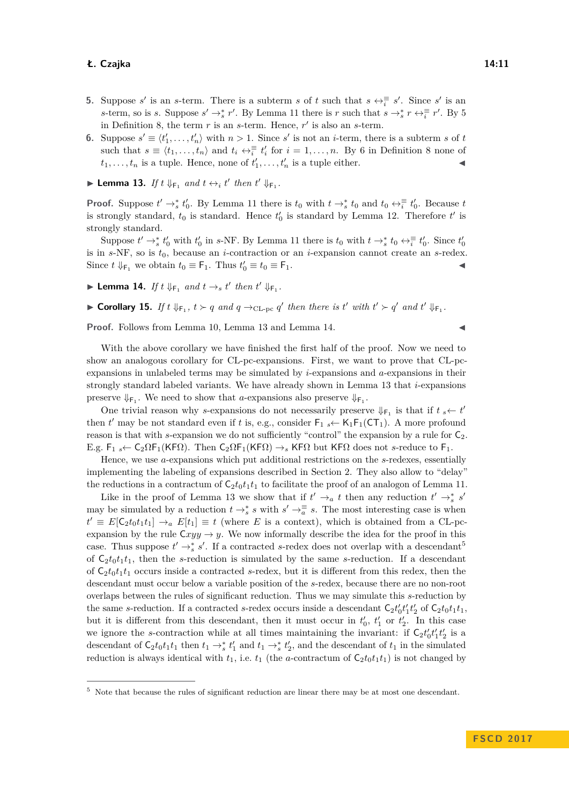- **5.** Suppose *s*' is an *s*-term. There is a subterm *s* of *t* such that  $s \leftrightarrow \frac{1}{i} s'$ . Since *s*' is an *s*-term, so is *s*. Suppose  $s' \to s r'$ . By Lemma [11](#page-9-0) there is *r* such that  $s \to s r \leftrightarrow \frac{1}{i} r'$ . By [5](#page-7-2) in Definition [8,](#page-7-1) the term  $r$  is an  $s$ -term. Hence,  $r'$  is also an  $s$ -term.
- **6.** Suppose  $s' \equiv \langle t'_1, \ldots, t'_n \rangle$  with  $n > 1$ . Since  $s'$  is not an *i*-term, there is a subterm *s* of *t* such that  $s \equiv \langle t_1, \ldots, t_n \rangle$  and  $t_i \leftrightarrow \overline{i} \atop i \neq j$  for  $i = 1, \ldots, n$ . By [6](#page-7-10) in Definition [8](#page-7-1) none of  $t_1, \ldots, t_n$  is a tuple. Hence, none of  $t'_1, \ldots, t'_n$  is a tuple either.
- <span id="page-10-1"></span>**Example 13.** If  $t \Downarrow_{\mathsf{F}_1}$  and  $t \leftrightarrow_i t'$  then  $t' \Downarrow_{\mathsf{F}_1}$ .

**Proof.** Suppose  $t' \to_s^* t'_0$ . By Lemma [11](#page-9-0) there is  $t_0$  with  $t \to_s^* t_0$  and  $t_0 \leftrightarrow_s^{\equiv} t'_0$ . Because  $t$ is strongly standard,  $t_0$  is standard. Hence  $t'_0$  is standard by Lemma [12.](#page-9-1) Therefore  $t'$  is strongly standard.

Suppose  $t' \to_s^* t'_0$  with  $t'_0$  in *s*-NF. By Lemma [11](#page-9-0) there is  $t_0$  with  $t \to_s^* t_0 \leftrightarrow_s^{\equiv} t'_0$ . Since  $t'_0$ is in *s*-NF, so is *t*0, because an *i*-contraction or an *i*-expansion cannot create an *s*-redex. Since  $t \Downarrow_{\mathsf{F}_1}$  we obtain  $t_0 \equiv \mathsf{F}_1$ . Thus  $t'_0 \equiv t_0 \equiv \mathsf{F}_1$ .

- <span id="page-10-2"></span>**Example 14.** *If*  $t \Downarrow_{F_1}$  *and*  $t \rightarrow_s t'$  *then*  $t' \Downarrow_{F_1}$ *.*
- <span id="page-10-0"></span>▶ Corollary 15. If  $t \Downarrow_{\mathsf{F}_1}$ ,  $t \succ q$  and  $q \rightarrow_{\text{CL-pc}} q'$  then there is  $t'$  with  $t' \succ q'$  and  $t' \Downarrow_{\mathsf{F}_1}$ .

**Proof.** Follows from Lemma [10,](#page-8-1) Lemma [13](#page-10-1) and Lemma [14.](#page-10-2)

With the above corollary we have finished the first half of the proof. Now we need to show an analogous corollary for CL-pc-expansions. First, we want to prove that CL-pcexpansions in unlabeled terms may be simulated by *i*-expansions and *a*-expansions in their strongly standard labeled variants. We have already shown in Lemma [13](#page-10-1) that *i*-expansions preserve  $\Downarrow_{\mathsf{F}_1}$ . We need to show that *a*-expansions also preserve  $\Downarrow_{\mathsf{F}_1}$ .

One trivial reason why *s*-expansions do not necessarily preserve  $\Downarrow_{\mathsf{F}_1}$  is that if  $t_s \leftarrow t'$ then  $t'$  may be not standard even if  $t$  is, e.g., consider  $\mathsf{F}_1$   $\leftarrow$  K<sub>1</sub> $\mathsf{F}_1(\mathsf{CT}_1)$ . A more profound reason is that with *s*-expansion we do not sufficiently "control" the expansion by a rule for  $C_2$ . E.g.  $F_1$   $\leftarrow$  C<sub>2</sub> $\Omega F_1(KF\Omega)$ . Then  $C_2\Omega F_1(KF\Omega) \rightarrow_{\mathcal{S}} KF\Omega$  but KF $\Omega$  does not *s*-reduce to  $F_1$ .

Hence, we use *a*-expansions which put additional restrictions on the *s*-redexes, essentially implementing the labeling of expansions described in Section [2.](#page-1-1) They also allow to "delay" the reductions in a contractum of  $C_2t_0t_1t_1$  to facilitate the proof of an analogon of Lemma [11.](#page-9-0)

Like in the proof of Lemma [13](#page-10-1) we show that if  $t' \rightarrow_a t$  then any reduction  $t' \rightarrow_s^* s'$ may be simulated by a reduction  $t \to_s^* s$  with  $s' \to_{\overline{a}}^{\equiv} s$ . The most interesting case is when  $t' \equiv E[\mathsf{C}_2 t_0 t_1 t_1] \rightarrow_a E[t_1] \equiv t$  (where *E* is a context), which is obtained from a CL-pcexpansion by the rule  $Cxyy \rightarrow y$ . We now informally describe the idea for the proof in this case. Thus suppose  $t' \rightarrow_s^* s'$ . If a contracted *s*-redex does not overlap with a descendant<sup>[5](#page-10-3)</sup> of  $C_2t_0t_1t_1$ , then the *s*-reduction is simulated by the same *s*-reduction. If a descendant of  $C_2t_0t_1t_1$  occurs inside a contracted *s*-redex, but it is different from this redex, then the descendant must occur below a variable position of the *s*-redex, because there are no non-root overlaps between the rules of significant reduction. Thus we may simulate this *s*-reduction by the same *s*-reduction. If a contracted *s*-redex occurs inside a descendant  $C_2 t'_0 t'_1 t'_2$  of  $C_2 t_0 t_1 t_1$ , but it is different from this descendant, then it must occur in  $t_0$ ,  $t_1$  or  $t_2$ . In this case we ignore the *s*-contraction while at all times maintaining the invariant: if  $C_2 t'_0 t'_1 t'_2$  is a descendant of  $C_2t_0t_1t_1$  then  $t_1 \rightarrow_s^* t'_1$  and  $t_1 \rightarrow_s^* t'_2$ , and the descendant of  $t_1$  in the simulated reduction is always identical with  $t_1$ , i.e.  $t_1$  (the *a*-contractum of  $C_2 t_0 t_1 t_1$ ) is not changed by

<span id="page-10-3"></span><sup>5</sup> Note that because the rules of significant reduction are linear there may be at most one descendant.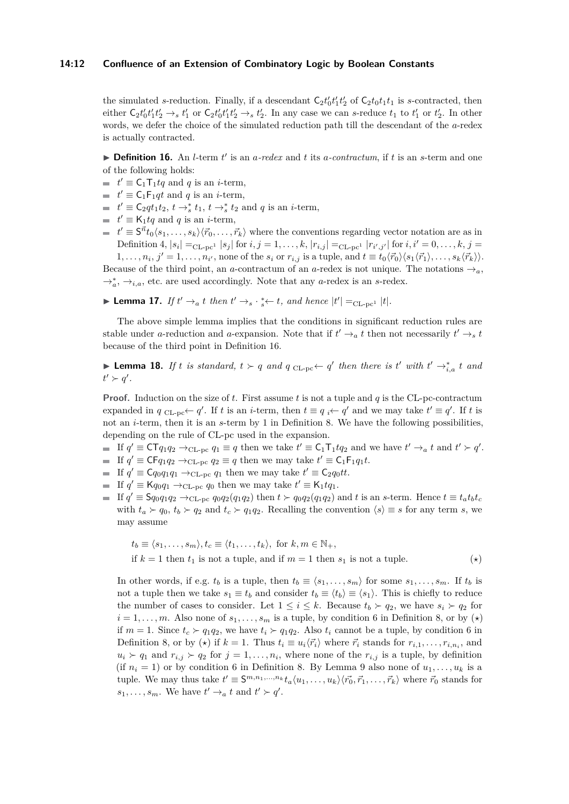## **14:12 Confluence of an Extension of Combinatory Logic by Boolean Constants**

the simulated *s*-reduction. Finally, if a descendant  $C_2 t'_0 t'_1 t'_2$  of  $C_2 t_0 t_1 t_1$  is *s*-contracted, then either  $C_2t'_0t'_1t'_2 \rightarrow_s t'_1$  or  $C_2t'_0t'_1t'_2 \rightarrow_s t'_2$ . In any case we can s-reduce  $t_1$  to  $t'_1$  or  $t'_2$ . In other words, we defer the choice of the simulated reduction path till the descendant of the *a*-redex is actually contracted.

<span id="page-11-0"></span>**Definition 16.** An *l*-term  $t'$  is an *a*-redex and  $t$  its *a*-contractum, if  $t$  is an *s*-term and one of the following holds:

- $t' \equiv C_1 T_1 tq$  and *q* is an *i*-term,
- $t' \equiv \mathsf{C}_1 \mathsf{F}_1 qt$  and *q* is an *i*-term,
- $t' \equiv \mathsf{C}_2 q t_1 t_2$ ,  $t \to_s^* t_1$ ,  $t \to_s^* t_2$  and  $q$  is an *i*-term,
- $t' \equiv \mathsf{K}_1 t q$  and *q* is an *i*-term,
- $t' \equiv S^{\vec{n}}t_0\langle s_1,\ldots,s_k\rangle\langle\vec{r}_0,\ldots,\vec{r}_k\rangle$  where the conventions regarding vector notation are as in Definition [4,](#page-6-0)  $|s_i| =_{CL-pc^1} |s_j|$  for  $i, j = 1, ..., k, |r_{i,j}| =_{CL-pc^1} |r_{i',j'}|$  for  $i, i' = 0, ..., k, j =$  $1,\ldots,n_i, j'=1,\ldots,n_{i'}$ , none of the  $s_i$  or  $r_{i,j}$  is a tuple, and  $t \equiv t_0 \langle \vec{r}_0 \rangle \langle s_1 \langle \vec{r}_1 \rangle, \ldots, s_k \langle \vec{r}_k \rangle \rangle$ .

Because of the third point, an *a*-contractum of an *a*-redex is not unique. The notations  $\rightarrow_a$ , →<sup>\*</sup><sub>a</sub>, →<sub>*i*,a</sub>, etc. are used accordingly. Note that any *a*-redex is an *s*-redex.

<span id="page-11-1"></span>▶ **Lemma 17.** *If*  $t' \rightarrow a$  *t then*  $t' \rightarrow s \cdot s$   $\leftarrow t$ *, and hence*  $|t'| =_{CL-pc^1} |t|$ *.* 

The above simple lemma implies that the conditions in significant reduction rules are stable under *a*-reduction and *a*-expansion. Note that if  $t' \rightarrow_a t$  then not necessarily  $t' \rightarrow_s t$ because of the third point in Definition [16.](#page-11-0)

<span id="page-11-2"></span>▶ **Lemma 18.** *If t is standard,*  $t \succ q$  *and*  $q$  <sub>CL-pc</sub>←  $q'$  *then there is*  $t'$  *with*  $t' \rightarrow_{i,a}^* t$  *and*  $t' \succ q'$ .

**Proof.** Induction on the size of *t*. First assume *t* is not a tuple and *q* is the CL-pc-contractum expanded in  $q_{CL-pc} \leftarrow q'$ . If *t* is an *i*-term, then  $t \equiv q_i \leftarrow q'$  and we may take  $t' \equiv q'$ . If *t* is not an *i*-term, then it is an *s*-term by [1](#page-7-0) in Definition [8.](#page-7-1) We have the following possibilities, depending on the rule of CL-pc used in the expansion.

- If  $q' \equiv \mathsf{CT} q_1 q_2 \rightarrow_{\text{CL-pc}} q_1 \equiv q$  then we take  $t' \equiv \mathsf{C}_1 \mathsf{T}_1 t q_2$  and we have  $t' \rightarrow_a t$  and  $t' \succ q'$ .
- If  $q' \equiv \mathsf{CF}q_1q_2 \rightarrow_{\text{CL-pc}} q_2 \equiv q$  then we may take  $t' \equiv \mathsf{C}_1\mathsf{F}_1q_1t$ .
- If  $q' \equiv \mathsf{C} q_0 q_1 q_1 \rightarrow_{\text{CL-pc}} q_1$  then we may take  $t' \equiv \mathsf{C}_2 q_0 t t$ .
- If  $q' \equiv \mathsf{K} q_0 q_1 \rightarrow_{\text{CL-pc}} q_0$  then we may take  $t' \equiv \mathsf{K}_1 t q_1$ .
- If  $q' \equiv \mathsf{S}q_0q_1q_2 \rightarrow_{\text{CL-pc}} q_0q_2(q_1q_2)$  then  $t \succ q_0q_2(q_1q_2)$  and t is an s-term. Hence  $t \equiv t_a t_b t_c$ with  $t_a \succ q_0$ ,  $t_b \succ q_2$  and  $t_c \succ q_1q_2$ . Recalling the convention  $\langle s \rangle \equiv s$  for any term *s*, we may assume

$$
t_b \equiv \langle s_1, \dots, s_m \rangle, t_c \equiv \langle t_1, \dots, t_k \rangle, \text{ for } k, m \in \mathbb{N}_+,
$$
  
if  $k = 1$  then  $t_1$  is not a tuple, and if  $m = 1$  then  $s_1$  is not a tuple. (\*)

In other words, if e.g.  $t_b$  is a tuple, then  $t_b \equiv \langle s_1, \ldots, s_m \rangle$  for some  $s_1, \ldots, s_m$ . If  $t_b$  is not a tuple then we take  $s_1 \equiv t_b$  and consider  $t_b \equiv \langle t_b \rangle \equiv \langle s_1 \rangle$ . This is chiefly to reduce the number of cases to consider. Let  $1 \leq i \leq k$ . Because  $t_b \succ q_2$ , we have  $s_i \succ q_2$  for  $i = 1, \ldots, m$ . Also none of  $s_1, \ldots, s_m$  is a tuple, by condition [6](#page-7-10) in Definition [8,](#page-7-1) or by  $(\star)$ if  $m = 1$ . Since  $t_c > q_1q_2$ , we have  $t_i > q_1q_2$ . Also  $t_i$  cannot be a tuple, by condition [6](#page-7-10) in Definition [8,](#page-7-1) or by ( $\star$ ) if  $k = 1$ . Thus  $t_i \equiv u_i \langle \vec{r}_i \rangle$  where  $\vec{r}_i$  stands for  $r_{i,1}, \ldots, r_{i,n_i}$ , and  $u_i \succ q_1$  and  $r_{i,j} \succ q_2$  for  $j = 1, \ldots, n_i$ , where none of the  $r_{i,j}$  is a tuple, by definition (if  $n_i = 1$ ) or by condition [6](#page-7-10) in Definition [8.](#page-7-1) By Lemma [9](#page-7-6) also none of  $u_1, \ldots, u_k$  is a tuple. We may thus take  $t' \equiv \mathsf{S}^{m,n_1,\ldots,n_k} t_a \langle u_1,\ldots,u_k \rangle \langle \vec{r_0}, \vec{r}_1,\ldots,\vec{r}_k \rangle$  where  $\vec{r_0}$  stands for  $s_1, \ldots, s_m$ . We have  $t' \rightarrow a$  *t* and  $t' \succ q'$ .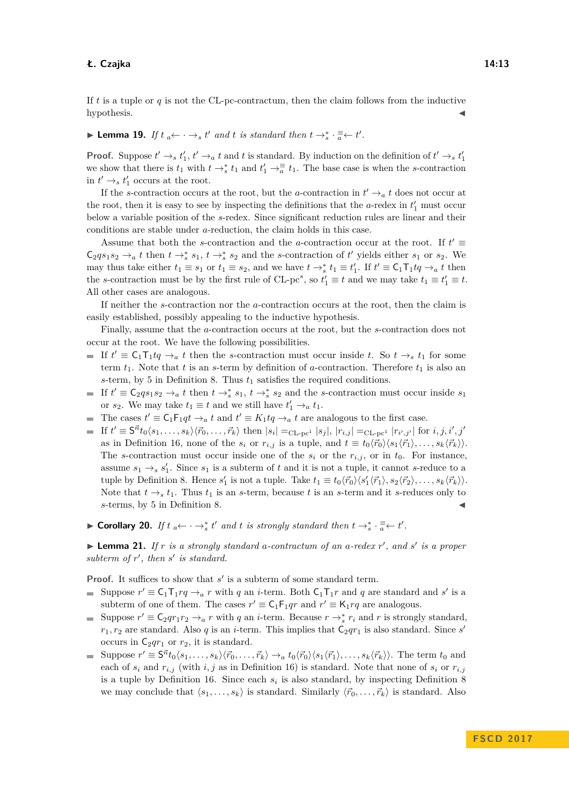If *t* is a tuple or *q* is not the CL-pc-contractum, then the claim follows from the inductive  $hypothesis.$ 

► Lemma 19. If  $t_a \leftarrow \cdots \rightarrow_s t'$  and  $t$  is standard then  $t \rightarrow_s^* \cdot \frac{=} \leftarrow t'.$ 

**Proof.** Suppose  $t' \to s t'_1$ ,  $t' \to a t$  and *t* is standard. By induction on the definition of  $t' \to s t'_1$ we show that there is  $t_1$  with  $t \to^*_{s} t_1$  and  $t'_1 \to^{\equiv}_{a} t_1$ . The base case is when the *s*-contraction in  $t' \rightarrow_s t'_1$  occurs at the root.

If the *s*-contraction occurs at the root, but the *a*-contraction in  $t' \rightarrow_a t$  does not occur at the root, then it is easy to see by inspecting the definitions that the  $a$ -redex in  $t'_1$  must occur below a variable position of the *s*-redex. Since significant reduction rules are linear and their conditions are stable under *a*-reduction, the claim holds in this case.

Assume that both the *s*-contraction and the *a*-contraction occur at the root. If  $t' \equiv$  $\mathsf{C}_2 q s_1 s_2 \to_a t$  then  $t \to_s^* s_1$ ,  $t \to_s^* s_2$  and the *s*-contraction of  $t'$  yields either  $s_1$  or  $s_2$ . We may thus take either  $t_1 \equiv s_1$  or  $t_1 \equiv s_2$ , and we have  $t \to_s^* t_1 \equiv t'_1$ . If  $t' \equiv \mathsf{C}_1 \mathsf{T}_1 t q \to_a t$  then the *s*-contraction must be by the first rule of CL-pc<sup>*s*</sup>, so  $t'_1 \equiv t$  and we may take  $t_1 \equiv t'_1 \equiv t$ . All other cases are analogous.

If neither the *s*-contraction nor the *a*-contraction occurs at the root, then the claim is easily established, possibly appealing to the inductive hypothesis.

Finally, assume that the *a*-contraction occurs at the root, but the *s*-contraction does not occur at the root. We have the following possibilities.

- If  $t' \equiv C_1T_1tq \rightarrow_a t$  then the *s*-contraction must occur inside *t*. So  $t \rightarrow_s t_1$  for some term  $t_1$ . Note that  $t$  is an  $s$ -term by definition of  $a$ -contraction. Therefore  $t_1$  is also an *s*-term, by [5](#page-7-2) in Definition [8.](#page-7-1) Thus  $t_1$  satisfies the required conditions.
- If  $t' \equiv C_2qs_1s_2 \rightarrow_a t$  then  $t \rightarrow_s^* s_1$ ,  $t \rightarrow_s^* s_2$  and the *s*-contraction must occur inside  $s_1$ or  $s_2$ . We may take  $t_1 \equiv t$  and we still have  $t'_1 \rightarrow_a t_1$ .
- The cases  $t' \equiv C_1F_1qt \rightarrow_a t$  and  $t' \equiv K_1tq \rightarrow_a t$  are analogous to the first case.
- If  $t' \equiv S^{\vec{n}}t_0 \langle s_1,\ldots,s_k \rangle \langle \vec{r}_0,\ldots,\vec{r}_k \rangle$  then  $|s_i| =_{CL-pc^1} |s_j|, |r_{i,j}| =_{CL-pc^1} |r_{i',j'}|$  for  $i, j, i', j'$ as in Definition [16,](#page-11-0) none of the  $s_i$  or  $r_{i,j}$  is a tuple, and  $t \equiv t_0 \langle \vec{r}_0 \rangle \langle s_1 \langle \vec{r}_1 \rangle, \ldots, s_k \langle \vec{r}_k \rangle \rangle$ . The *s*-contraction must occur inside one of the  $s_i$  or the  $r_{i,j}$ , or in  $t_0$ . For instance, assume  $s_1 \rightarrow_s s_1'$ . Since  $s_1$  is a subterm of *t* and it is not a tuple, it cannot *s*-reduce to a tuple by Definition [8.](#page-7-1) Hence  $s'_1$  is not a tuple. Take  $t_1 \equiv t_0 \langle \vec{r}_0 \rangle \langle s'_1 \langle \vec{r}_1 \rangle, s_2 \langle \vec{r}_2 \rangle, \ldots, s_k \langle \vec{r}_k \rangle$ . Note that  $t \rightarrow_s t_1$ . Thus  $t_1$  is an *s*-term, because *t* is an *s*-term and it *s*-reduces only to *s*-terms, by [5](#page-7-2) in Definition [8.](#page-7-1)
- <span id="page-12-1"></span>► Corollary 20. *If*  $t_a \leftarrow \cdots \rightarrow_s^* t'$  and *t* is strongly standard then  $t \rightarrow_s^* \cdot \frac{=}{} \leftarrow t'.$

<span id="page-12-0"></span>▶ **Lemma 21.** *If r is a strongly standard a-contractum of an a-redex r', and s' is a proper* subterm of  $r'$ , then  $s'$  is standard.

**Proof.** It suffices to show that  $s'$  is a subterm of some standard term.

- Suppose  $r' \equiv C_1T_1rq \rightarrow_a r$  with *q* an *i*-term. Both  $C_1T_1r$  and *q* are standard and *s'* is a subterm of one of them. The cases  $r' \equiv C_1F_1qr$  and  $r' \equiv K_1rq$  are analogous.
- Suppose  $r' \equiv C_2qr_1r_2 \rightarrow_a r$  with *q* an *i*-term. Because  $r \rightarrow_s^* r_i$  and *r* is strongly standard,  $r_1, r_2$  are standard. Also *q* is an *i*-term. This implies that  $C_2qr_1$  is also standard. Since *s*<sup>*i*</sup> occurs in  $C_2qr_1$  or  $r_2$ , it is standard.
- Suppose  $r' \equiv S^{\vec{n}}t_0 \langle s_1, \ldots, s_k \rangle \langle \vec{r}_0, \ldots, \vec{r}_k \rangle \rightarrow_a t_0 \langle \vec{r}_0 \rangle \langle s_1 \langle \vec{r}_1 \rangle, \ldots, s_k \langle \vec{r}_k \rangle \rangle$ . The term  $t_0$  and each of  $s_i$  and  $r_{i,j}$  (with  $i, j$  as in Definition [16\)](#page-11-0) is standard. Note that none of  $s_i$  or  $r_{i,j}$ is a tuple by Definition [16.](#page-11-0) Since each  $s_i$  is also standard, by inspecting Definition [8](#page-7-1) we may conclude that  $\langle s_1, \ldots, s_k \rangle$  is standard. Similarly  $\langle \vec{r}_0, \ldots, \vec{r}_k \rangle$  is standard. Also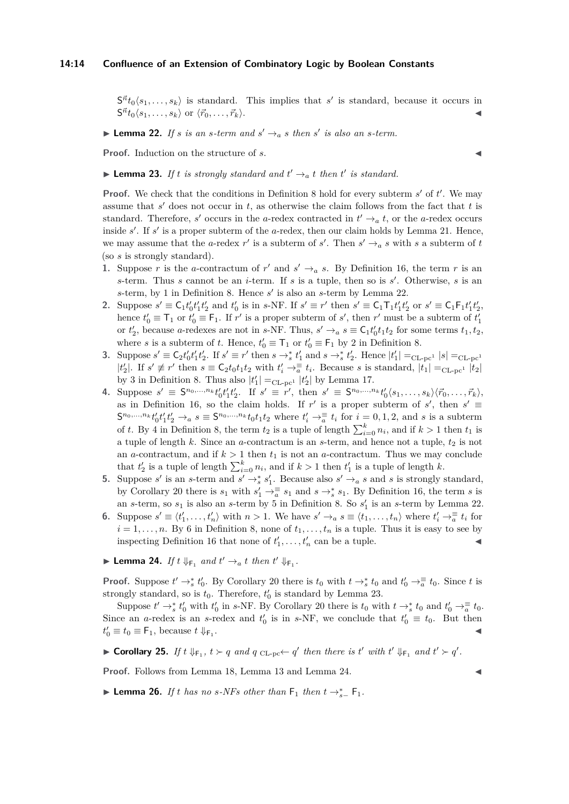## **14:14 Confluence of an Extension of Combinatory Logic by Boolean Constants**

 $S^{\vec{n}}t_0\langle s_1,\ldots,s_k\rangle$  is standard. This implies that *s*' is standard, because it occurs in  $S^{\vec{n}}t_0\langle s_1, \ldots, s_k\rangle$  or  $\langle \vec{r}_0, \ldots, \vec{r}_k\rangle$ .

# <span id="page-13-3"></span>**Example 22.** If *s* is an *s*-term and  $s' \rightarrow_a s$  then *s'* is also an *s*-term.

**Proof.** Induction on the structure of *s*. J

# <span id="page-13-4"></span>**Example 123.** If t is strongly standard and  $t' \rightarrow_a t$  then  $t'$  is standard.

**Proof.** We check that the conditions in Definition [8](#page-7-1) hold for every subterm  $s'$  of  $t'$ . We may assume that  $s'$  does not occur in  $t$ , as otherwise the claim follows from the fact that  $t$  is standard. Therefore, *s'* occurs in the *a*-redex contracted in  $t' \rightarrow_a t$ , or the *a*-redex occurs inside s'. If s' is a proper subterm of the *a*-redex, then our claim holds by Lemma [21.](#page-12-0) Hence, we may assume that the *a*-redex  $r'$  is a subterm of *s'*. Then  $s' \rightarrow a s$  with *s* a subterm of *t* (so *s* is strongly standard).

- **1.** Suppose *r* is the *a*-contractum of  $r'$  and  $s' \rightarrow a s$ . By Definition [16,](#page-11-0) the term *r* is an *s*-term. Thus *s* cannot be an *i*-term. If *s* is a tuple, then so is  $s'$ . Otherwise, *s* is an  $s$ -term, by [1](#page-7-0) in Definition [8.](#page-7-1) Hence  $s'$  is also an  $s$ -term by Lemma [22.](#page-13-3)
- 2. Suppose  $s' \equiv C_1 t'_0 t'_1 t'_2$  and  $t'_0$  is in s-NF. If  $s' \equiv r'$  then  $s' \equiv C_1 T_1 t'_1 t'_2$  or  $s' \equiv C_1 F_1 t'_1 t'_2$ , hence  $t'_0 \equiv \mathsf{T}_1$  or  $t'_0 \equiv \mathsf{F}_1$ . If  $r'$  is a proper subterm of  $s'$ , then  $r'$  must be a subterm of  $t'_1$ or  $t'_2$ , because *a*-redexes are not in *s*-NF. Thus,  $s' \rightarrow_a s \equiv \mathsf{C}_1 t'_0 t_1 t_2$  for some terms  $t_1, t_2$ , where *s* is a subterm of *t*. Hence,  $t'_0 \equiv T_1$  or  $t'_0 \equiv F_1$  by [2](#page-7-4) in Definition [8.](#page-7-1)
- 3. Suppose  $s' \equiv C_2 t'_0 t'_1 t'_2$ . If  $s' \equiv r'$  then  $s \to_s^* t'_1$  and  $s \to_s^* t'_2$ . Hence  $|t'_1| =_{CL-pc^1} |s| =_{CL-pc^1}$  $|t'_2|$ . If  $s' \not\equiv r'$  then  $s \equiv C_2 t_0 t_1 t_2$  with  $t'_i \rightarrow \frac{1}{a} t_i$ . Because *s* is standard,  $|t_1| =_{CL-pc^1} |t_2|$ by [3](#page-7-7) in Definition [8.](#page-7-1) Thus also  $|t'_1| =_{CL-pc^1} |t'_2|$  by Lemma [17.](#page-11-1)
- 4. Suppose  $s' \equiv S^{n_0, ..., n_k} t'_0 t'_1 t'_2$ . If  $s' \equiv r'$ , then  $s' \equiv S^{n_0, ..., n_k} t'_0 \langle s_1, ..., s_k \rangle \langle \vec{r}_0, ..., \vec{r}_k \rangle$ , as in Definition [16,](#page-11-0) so the claim holds. If r' is a proper subterm of  $s'$ , then  $s' \equiv$  $S^{n_0,\ldots,n_k}t'_0t'_1t'_2 \rightarrow_a s \equiv S^{n_0,\ldots,n_k}t_0t_1t_2$  where  $t'_i \rightarrow_a^{\equiv} t_i$  for  $i=0,1,2$ , and s is a subterm of *t*. By [4](#page-7-9) in Definition [8,](#page-7-1) the term  $t_2$  is a tuple of length  $\sum_{i=0}^{k} n_i$ , and if  $k > 1$  then  $t_1$  is a tuple of length *k*. Since an *a*-contractum is an *s*-term, and hence not a tuple,  $t_2$  is not an *a*-contractum, and if  $k > 1$  then  $t_1$  is not an *a*-contractum. Thus we may conclude that  $t'_2$  is a tuple of length  $\sum_{i=0}^k n_i$ , and if  $k > 1$  then  $t'_1$  is a tuple of length *k*.
- **5.** Suppose *s*' is an *s*-term and  $s' \rightarrow_s^* s_1'$ . Because also  $s' \rightarrow_a s$  and *s* is strongly standard, by Corollary [20](#page-12-1) there is  $s_1$  with  $s'_1 \to \overline{\overline{a}} s_1$  and  $s \to_s^* s_1$ . By Definition [16,](#page-11-0) the term *s* is an *s*-term, so  $s_1$  is also an *s*-term by [5](#page-7-2) in Definition [8.](#page-7-1) So  $s'_1$  is an *s*-term by Lemma [22.](#page-13-3)
- **6.** Suppose  $s' \equiv \langle t'_1, \ldots, t'_n \rangle$  with  $n > 1$ . We have  $s' \rightarrow_a s \equiv \langle t_1, \ldots, t_n \rangle$  where  $t'_i \rightarrow_a^{\equiv} t_i$  for  $i = 1, \ldots, n$ . By [6](#page-7-10) in Definition [8,](#page-7-1) none of  $t_1, \ldots, t_n$  is a tuple. Thus it is easy to see by inspecting Definition [16](#page-11-0) that none of  $t'_1, \ldots, t'_n$  can be a tuple.
- <span id="page-13-2"></span>**Example 14.** If  $t \Downarrow_{\mathsf{F}_1}$  and  $t' \rightarrow_a t$  then  $t' \Downarrow_{\mathsf{F}_1}$ .

**Proof.** Suppose  $t' \rightarrow_s^* t'_0$ . By Corollary [20](#page-12-1) there is  $t_0$  with  $t \rightarrow_s^* t_0$  and  $t'_0 \rightarrow_{\overline{a}}^{\equiv} t_0$ . Since  $t$  is strongly standard, so is  $t_0$ . Therefore,  $t'_0$  is standard by Lemma [23.](#page-13-4)

Suppose  $t' \to_s^* t'_0$  with  $t'_0$  in *s*-NF. By Corollary [20](#page-12-1) there is  $t_0$  with  $t \to_s^* t_0$  and  $t'_0 \to_{\overline{a}} \overline{t}_0$ . Since an *a*-redex is an *s*-redex and  $t'_0$  is in *s*-NF, we conclude that  $t'_0 \equiv t_0$ . But then  $t'_0 \equiv t_0 \equiv \mathsf{F}_1$ , because  $t \Downarrow_{\mathsf{F}_1}$ . John Paris, John Paris, John Paris, John Paris, John Paris, John Paris, John Paris, John Paris, John Paris,

<span id="page-13-0"></span>▶ Corollary 25. *If*  $t \Downarrow_{\mathsf{F}_1}$ ,  $t \succ q$  and  $q$   $\text{CL-pc} \leftarrow q'$  then there is  $t'$  with  $t' \Downarrow_{\mathsf{F}_1}$  and  $t' \succ q'$ .

**Proof.** Follows from Lemma [18,](#page-11-2) Lemma [13](#page-10-1) and Lemma [24.](#page-13-2)

<span id="page-13-1"></span>▶ **Lemma 26.** *If t has no s*-*NFs other than*  $F_1$  *then*  $t \rightarrow_{s}^{*}$   $F_1$ *.*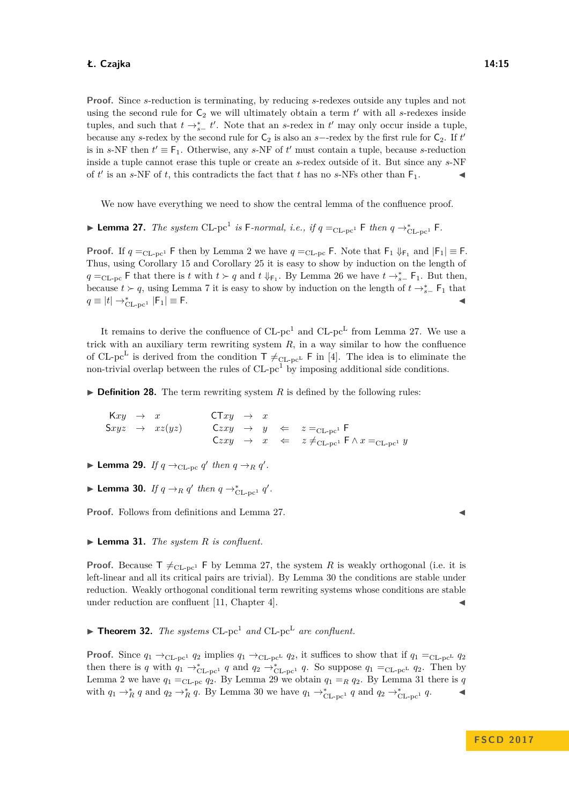**Proof.** Since *s*-reduction is terminating, by reducing *s*-redexes outside any tuples and not using the second rule for  $C_2$  we will ultimately obtain a term  $t'$  with all *s*-redexes inside tuples, and such that  $t \rightarrow_{s-}^{*} t'$ . Note that an *s*-redex in  $t'$  may only occur inside a tuple, because any *s*-redex by the second rule for  $C_2$  is also an *s*−-redex by the first rule for  $C_2$ . If *t*<sup>*t*</sup> is in *s*-NF then  $t' \equiv F_1$ . Otherwise, any *s*-NF of  $t'$  must contain a tuple, because *s*-reduction inside a tuple cannot erase this tuple or create an *s*-redex outside of it. But since any *s*-NF of  $t'$  is an *s*-NF of *t*, this contradicts the fact that *t* has no *s*-NFs other than  $F_1$ .

We now have everything we need to show the central lemma of the confluence proof.

<span id="page-14-0"></span>▶ Lemma 27. *The system* CL-pc<sup>1</sup> is F-normal, i.e., if  $q =_{CL-pc1}$  F *then*  $q \rightarrow_{CL-pc1}^*$  F.

**Proof.** If  $q =_{CL-pc1}$  F then by Lemma [2](#page-5-1) we have  $q =_{CL-pc}$  F. Note that  $F_1 \downarrow_{F_1}$  and  $|F_1| \equiv F$ . Thus, using Corollary [15](#page-10-0) and Corollary [25](#page-13-0) it is easy to show by induction on the length of *q* =<sub>CL-pc</sub> **F** that there is *t* with *t*  $\succ$  *q* and *t* ↓<sub>F<sub>1</sub></sub>. By Lemma [26](#page-13-1) we have *t* → $*$ <sub>*s*−</sub></sub> F<sub>1</sub>. But then, because  $t > q$ , using Lemma [7](#page-7-3) it is easy to show by induction on the length of  $t \rightarrow_{s-}^*$  F<sub>1</sub> that  $q \equiv |t| \rightarrow_{\text{CL-pc}^1}^* |F_1| \equiv F.$ 

It remains to derive the confluence of  $CL$ -pc<sup>1</sup> and  $CL$ -pc<sup>L</sup> from Lemma [27.](#page-14-0) We use a trick with an auxiliary term rewriting system  $R$ , in a way similar to how the confluence of CL-pc<sup>L</sup> is derived from the condition  $\mathsf{T} \neq_{\text{CL-pc}^L} \mathsf{F}$  in [\[4\]](#page-15-3). The idea is to eliminate the non-trivial overlap between the rules of  $CL$ -pc<sup>1</sup> by imposing additional side conditions.

 $\triangleright$  **Definition 28.** The term rewriting system *R* is defined by the following rules:

 $Kxy \rightarrow x$  CT*xy*  $\rightarrow x$  $Sxyz \rightarrow xz(yz)$  C*zxy*  $\rightarrow y \Leftarrow z=_{CL-pc}F$  $Czxy \rightarrow x \Leftarrow z \neq_{CL-pc} F \wedge x =_{CL-pc} y$ 

- <span id="page-14-2"></span>**Demma 29.** *If*  $q \rightarrow_{CL-pc} q'$  *then*  $q \rightarrow_R q'$ *.*
- <span id="page-14-1"></span>▶ Lemma 30. *If*  $q \rightarrow_R q'$  then  $q \rightarrow_{CL-pc^1}^* q'$ .

**Proof.** Follows from definitions and Lemma [27.](#page-14-0)

<span id="page-14-3"></span> $\blacktriangleright$  **Lemma 31.** *The system R is confluent.* 

**Proof.** Because  $T \neq_{CL-pc} F$  by Lemma [27,](#page-14-0) the system R is weakly orthogonal (i.e. it is left-linear and all its critical pairs are trivial). By Lemma [30](#page-14-1) the conditions are stable under reduction. Weakly orthogonal conditional term rewriting systems whose conditions are stable under reduction are confluent [\[11,](#page-15-13) Chapter 4].

 $\blacktriangleright$  **Theorem 32.** The systems CL-pc<sup>1</sup> and CL-pc<sup>L</sup> are confluent.

**Proof.** Since  $q_1 \rightarrow_{CL-pc^1} q_2$  implies  $q_1 \rightarrow_{CL-pc^L} q_2$ , it suffices to show that if  $q_1 =_{CL-pc^L} q_2$ then there is *q* with  $q_1 \rightarrow_{CL-pc^1}^* q$  and  $q_2 \rightarrow_{CL-pc^1}^* q$ . So suppose  $q_1 =_{CL-pc^L} q_2$ . Then by Lemma [2](#page-5-1) we have  $q_1 =_{CL-pc} q_2$ . By Lemma [29](#page-14-2) we obtain  $q_1 =_R q_2$ . By Lemma [31](#page-14-3) there is  $q$ with  $q_1 \rightarrow_R^* q$  and  $q_2 \rightarrow_R^* q$ . By Lemma [30](#page-14-1) we have  $q_1 \rightarrow_{CL-pc^1}^* q$  and  $q_2 \rightarrow_{CL-pc^1}^* q$ .